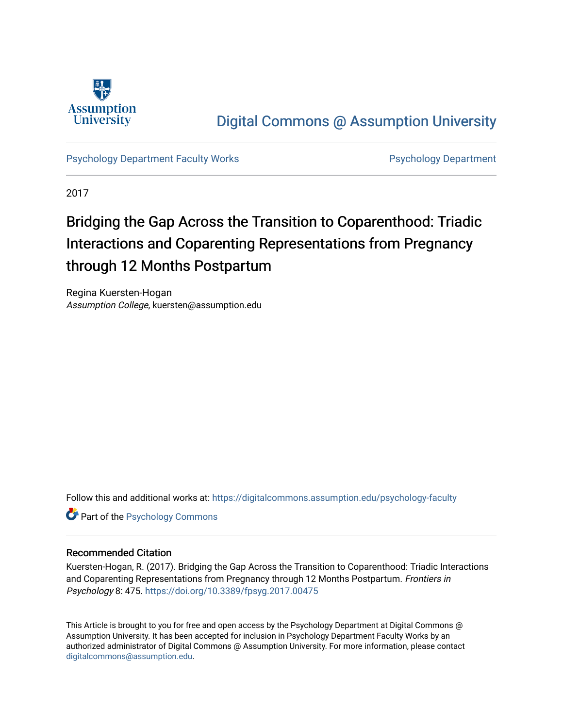

# [Digital Commons @ Assumption University](https://digitalcommons.assumption.edu/)

[Psychology Department Faculty Works](https://digitalcommons.assumption.edu/psychology-faculty) **Provides Accord Psychology Department** 

2017

# Bridging the Gap Across the Transition to Coparenthood: Triadic Interactions and Coparenting Representations from Pregnancy through 12 Months Postpartum

Regina Kuersten-Hogan Assumption College, kuersten@assumption.edu

Follow this and additional works at: [https://digitalcommons.assumption.edu/psychology-faculty](https://digitalcommons.assumption.edu/psychology-faculty?utm_source=digitalcommons.assumption.edu%2Fpsychology-faculty%2F3&utm_medium=PDF&utm_campaign=PDFCoverPages) 

**Part of the Psychology Commons** 

## Recommended Citation

Kuersten-Hogan, R. (2017). Bridging the Gap Across the Transition to Coparenthood: Triadic Interactions and Coparenting Representations from Pregnancy through 12 Months Postpartum. Frontiers in Psychology 8: 475. <https://doi.org/10.3389/fpsyg.2017.00475>

This Article is brought to you for free and open access by the Psychology Department at Digital Commons @ Assumption University. It has been accepted for inclusion in Psychology Department Faculty Works by an authorized administrator of Digital Commons @ Assumption University. For more information, please contact [digitalcommons@assumption.edu](mailto:digitalcommons@assumption.edu).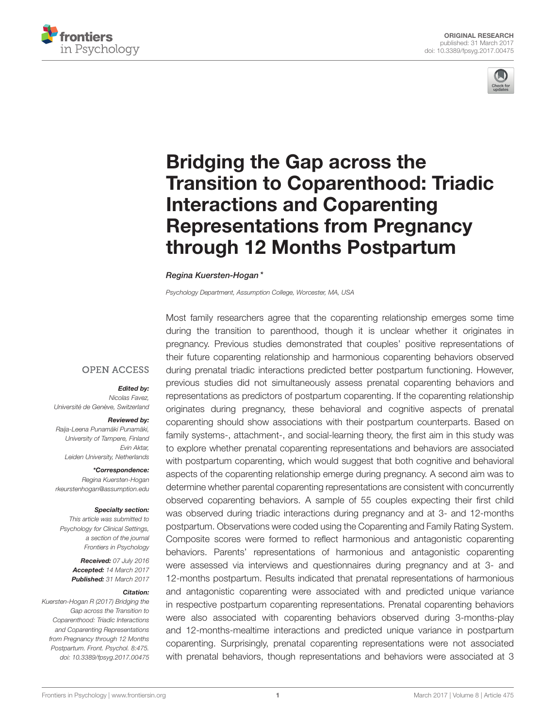



# Bridging the Gap across the [Transition to Coparenthood: Triadic](http://journal.frontiersin.org/article/10.3389/fpsyg.2017.00475/abstract) Interactions and Coparenting Representations from Pregnancy through 12 Months Postpartum

#### [Regina Kuersten-Hogan](http://loop.frontiersin.org/people/345624/overview)\*

Psychology Department, Assumption College, Worcester, MA, USA

## **OPEN ACCESS**

#### Edited by:

Nicolas Favez, Université de Genève, Switzerland

#### Reviewed by:

Raija-Leena Punamäki Punamäki, University of Tampere, Finland Evin Aktar, Leiden University, Netherlands

#### \*Correspondence:

Regina Kuersten-Hogan [rkeurstenhogan@assumption.edu](mailto:rkeurstenhogan@assumption.edu)

#### Specialty section:

This article was submitted to Psychology for Clinical Settings, a section of the journal Frontiers in Psychology

> Received: 07 July 2016 Accepted: 14 March 2017 Published: 31 March 2017

#### Citation:

Kuersten-Hogan R (2017) Bridging the Gap across the Transition to Coparenthood: Triadic Interactions and Coparenting Representations from Pregnancy through 12 Months Postpartum. Front. Psychol. 8:475. doi: [10.3389/fpsyg.2017.00475](https://doi.org/10.3389/fpsyg.2017.00475)

Most family researchers agree that the coparenting relationship emerges some time during the transition to parenthood, though it is unclear whether it originates in pregnancy. Previous studies demonstrated that couples' positive representations of their future coparenting relationship and harmonious coparenting behaviors observed during prenatal triadic interactions predicted better postpartum functioning. However, previous studies did not simultaneously assess prenatal coparenting behaviors and representations as predictors of postpartum coparenting. If the coparenting relationship originates during pregnancy, these behavioral and cognitive aspects of prenatal coparenting should show associations with their postpartum counterparts. Based on family systems-, attachment-, and social-learning theory, the first aim in this study was to explore whether prenatal coparenting representations and behaviors are associated with postpartum coparenting, which would suggest that both cognitive and behavioral aspects of the coparenting relationship emerge during pregnancy. A second aim was to determine whether parental coparenting representations are consistent with concurrently observed coparenting behaviors. A sample of 55 couples expecting their first child was observed during triadic interactions during pregnancy and at 3- and 12-months postpartum. Observations were coded using the Coparenting and Family Rating System. Composite scores were formed to reflect harmonious and antagonistic coparenting behaviors. Parents' representations of harmonious and antagonistic coparenting were assessed via interviews and questionnaires during pregnancy and at 3- and 12-months postpartum. Results indicated that prenatal representations of harmonious and antagonistic coparenting were associated with and predicted unique variance in respective postpartum coparenting representations. Prenatal coparenting behaviors were also associated with coparenting behaviors observed during 3-months-play and 12-months-mealtime interactions and predicted unique variance in postpartum coparenting. Surprisingly, prenatal coparenting representations were not associated with prenatal behaviors, though representations and behaviors were associated at 3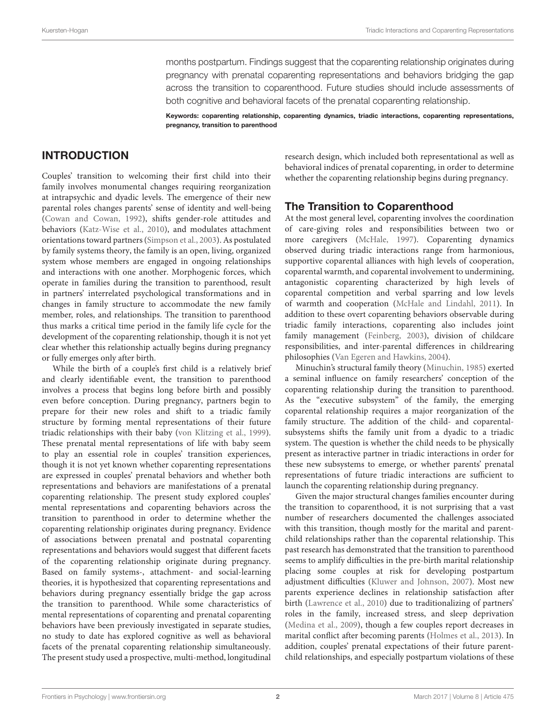months postpartum. Findings suggest that the coparenting relationship originates during pregnancy with prenatal coparenting representations and behaviors bridging the gap across the transition to coparenthood. Future studies should include assessments of both cognitive and behavioral facets of the prenatal coparenting relationship.

Keywords: coparenting relationship, coparenting dynamics, triadic interactions, coparenting representations, pregnancy, transition to parenthood

## INTRODUCTION

Couples' transition to welcoming their first child into their family involves monumental changes requiring reorganization at intrapsychic and dyadic levels. The emergence of their new parental roles changes parents' sense of identity and well-being [\(Cowan and Cowan, 1992\)](#page-16-0), shifts gender-role attitudes and behaviors [\(Katz-Wise et al., 2010\)](#page-17-0), and modulates attachment orientations toward partners [\(Simpson et al., 2003\)](#page-17-1). As postulated by family systems theory, the family is an open, living, organized system whose members are engaged in ongoing relationships and interactions with one another. Morphogenic forces, which operate in families during the transition to parenthood, result in partners' interrelated psychological transformations and in changes in family structure to accommodate the new family member, roles, and relationships. The transition to parenthood thus marks a critical time period in the family life cycle for the development of the coparenting relationship, though it is not yet clear whether this relationship actually begins during pregnancy or fully emerges only after birth.

While the birth of a couple's first child is a relatively brief and clearly identifiable event, the transition to parenthood involves a process that begins long before birth and possibly even before conception. During pregnancy, partners begin to prepare for their new roles and shift to a triadic family structure by forming mental representations of their future triadic relationships with their baby [\(von Klitzing et al., 1999\)](#page-17-2). These prenatal mental representations of life with baby seem to play an essential role in couples' transition experiences, though it is not yet known whether coparenting representations are expressed in couples' prenatal behaviors and whether both representations and behaviors are manifestations of a prenatal coparenting relationship. The present study explored couples' mental representations and coparenting behaviors across the transition to parenthood in order to determine whether the coparenting relationship originates during pregnancy. Evidence of associations between prenatal and postnatal coparenting representations and behaviors would suggest that different facets of the coparenting relationship originate during pregnancy. Based on family systems-, attachment- and social-learning theories, it is hypothesized that coparenting representations and behaviors during pregnancy essentially bridge the gap across the transition to parenthood. While some characteristics of mental representations of coparenting and prenatal coparenting behaviors have been previously investigated in separate studies, no study to date has explored cognitive as well as behavioral facets of the prenatal coparenting relationship simultaneously. The present study used a prospective, multi-method, longitudinal research design, which included both representational as well as behavioral indices of prenatal coparenting, in order to determine whether the coparenting relationship begins during pregnancy.

## The Transition to Coparenthood

At the most general level, coparenting involves the coordination of care-giving roles and responsibilities between two or more caregivers [\(McHale, 1997\)](#page-17-3). Coparenting dynamics observed during triadic interactions range from harmonious, supportive coparental alliances with high levels of cooperation, coparental warmth, and coparental involvement to undermining, antagonistic coparenting characterized by high levels of coparental competition and verbal sparring and low levels of warmth and cooperation [\(McHale and Lindahl, 2011\)](#page-17-4). In addition to these overt coparenting behaviors observable during triadic family interactions, coparenting also includes joint family management [\(Feinberg, 2003\)](#page-16-1), division of childcare responsibilities, and inter-parental differences in childrearing philosophies [\(Van Egeren and Hawkins, 2004\)](#page-17-5).

Minuchin's structural family theory [\(Minuchin, 1985\)](#page-17-6) exerted a seminal influence on family researchers' conception of the coparenting relationship during the transition to parenthood. As the "executive subsystem" of the family, the emerging coparental relationship requires a major reorganization of the family structure. The addition of the child- and coparentalsubsystems shifts the family unit from a dyadic to a triadic system. The question is whether the child needs to be physically present as interactive partner in triadic interactions in order for these new subsystems to emerge, or whether parents' prenatal representations of future triadic interactions are sufficient to launch the coparenting relationship during pregnancy.

Given the major structural changes families encounter during the transition to coparenthood, it is not surprising that a vast number of researchers documented the challenges associated with this transition, though mostly for the marital and parentchild relationships rather than the coparental relationship. This past research has demonstrated that the transition to parenthood seems to amplify difficulties in the pre-birth marital relationship placing some couples at risk for developing postpartum adjustment difficulties [\(Kluwer and Johnson, 2007\)](#page-17-7). Most new parents experience declines in relationship satisfaction after birth [\(Lawrence et al., 2010\)](#page-17-8) due to traditionalizing of partners' roles in the family, increased stress, and sleep deprivation [\(Medina et al., 2009\)](#page-17-9), though a few couples report decreases in marital conflict after becoming parents [\(Holmes et al., 2013\)](#page-17-10). In addition, couples' prenatal expectations of their future parentchild relationships, and especially postpartum violations of these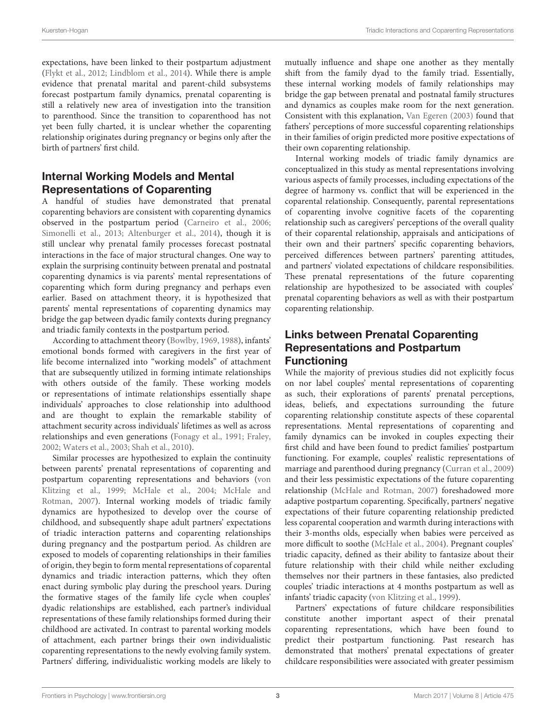expectations, have been linked to their postpartum adjustment [\(Flykt et al., 2012;](#page-17-11) [Lindblom et al., 2014\)](#page-17-12). While there is ample evidence that prenatal marital and parent-child subsystems forecast postpartum family dynamics, prenatal coparenting is still a relatively new area of investigation into the transition to parenthood. Since the transition to coparenthood has not yet been fully charted, it is unclear whether the coparenting relationship originates during pregnancy or begins only after the birth of partners' first child.

## Internal Working Models and Mental Representations of Coparenting

A handful of studies have demonstrated that prenatal coparenting behaviors are consistent with coparenting dynamics observed in the postpartum period [\(Carneiro et al., 2006;](#page-16-2) [Simonelli et al., 2013;](#page-17-13) [Altenburger et al., 2014\)](#page-16-3), though it is still unclear why prenatal family processes forecast postnatal interactions in the face of major structural changes. One way to explain the surprising continuity between prenatal and postnatal coparenting dynamics is via parents' mental representations of coparenting which form during pregnancy and perhaps even earlier. Based on attachment theory, it is hypothesized that parents' mental representations of coparenting dynamics may bridge the gap between dyadic family contexts during pregnancy and triadic family contexts in the postpartum period.

According to attachment theory [\(Bowlby, 1969,](#page-16-4) [1988\)](#page-16-5), infants' emotional bonds formed with caregivers in the first year of life become internalized into "working models" of attachment that are subsequently utilized in forming intimate relationships with others outside of the family. These working models or representations of intimate relationships essentially shape individuals' approaches to close relationship into adulthood and are thought to explain the remarkable stability of attachment security across individuals' lifetimes as well as across relationships and even generations [\(Fonagy et al., 1991;](#page-17-14) [Fraley,](#page-17-15) [2002;](#page-17-15) [Waters et al., 2003;](#page-17-16) [Shah et al., 2010\)](#page-17-17).

Similar processes are hypothesized to explain the continuity between parents' prenatal representations of coparenting and postpartum coparenting representations and behaviors (von Klitzing et al., [1999;](#page-17-2) [McHale et al., 2004;](#page-17-18) McHale and Rotman, [2007\)](#page-17-19). Internal working models of triadic family dynamics are hypothesized to develop over the course of childhood, and subsequently shape adult partners' expectations of triadic interaction patterns and coparenting relationships during pregnancy and the postpartum period. As children are exposed to models of coparenting relationships in their families of origin, they begin to form mental representations of coparental dynamics and triadic interaction patterns, which they often enact during symbolic play during the preschool years. During the formative stages of the family life cycle when couples' dyadic relationships are established, each partner's individual representations of these family relationships formed during their childhood are activated. In contrast to parental working models of attachment, each partner brings their own individualistic coparenting representations to the newly evolving family system. Partners' differing, individualistic working models are likely to

mutually influence and shape one another as they mentally shift from the family dyad to the family triad. Essentially, these internal working models of family relationships may bridge the gap between prenatal and postnatal family structures and dynamics as couples make room for the next generation. Consistent with this explanation, [Van Egeren \(2003\)](#page-17-20) found that fathers' perceptions of more successful coparenting relationships in their families of origin predicted more positive expectations of their own coparenting relationship.

Internal working models of triadic family dynamics are conceptualized in this study as mental representations involving various aspects of family processes, including expectations of the degree of harmony vs. conflict that will be experienced in the coparental relationship. Consequently, parental representations of coparenting involve cognitive facets of the coparenting relationship such as caregivers' perceptions of the overall quality of their coparental relationship, appraisals and anticipations of their own and their partners' specific coparenting behaviors, perceived differences between partners' parenting attitudes, and partners' violated expectations of childcare responsibilities. These prenatal representations of the future coparenting relationship are hypothesized to be associated with couples' prenatal coparenting behaviors as well as with their postpartum coparenting relationship.

## Links between Prenatal Coparenting Representations and Postpartum Functioning

While the majority of previous studies did not explicitly focus on nor label couples' mental representations of coparenting as such, their explorations of parents' prenatal perceptions, ideas, beliefs, and expectations surrounding the future coparenting relationship constitute aspects of these coparental representations. Mental representations of coparenting and family dynamics can be invoked in couples expecting their first child and have been found to predict families' postpartum functioning. For example, couples' realistic representations of marriage and parenthood during pregnancy [\(Curran et al., 2009\)](#page-16-6) and their less pessimistic expectations of the future coparenting relationship [\(McHale and Rotman, 2007\)](#page-17-19) foreshadowed more adaptive postpartum coparenting. Specifically, partners' negative expectations of their future coparenting relationship predicted less coparental cooperation and warmth during interactions with their 3-months olds, especially when babies were perceived as more difficult to soothe [\(McHale et al., 2004\)](#page-17-18). Pregnant couples' triadic capacity, defined as their ability to fantasize about their future relationship with their child while neither excluding themselves nor their partners in these fantasies, also predicted couples' triadic interactions at 4 months postpartum as well as infants' triadic capacity [\(von Klitzing et al., 1999\)](#page-17-2).

Partners' expectations of future childcare responsibilities constitute another important aspect of their prenatal coparenting representations, which have been found to predict their postpartum functioning. Past research has demonstrated that mothers' prenatal expectations of greater childcare responsibilities were associated with greater pessimism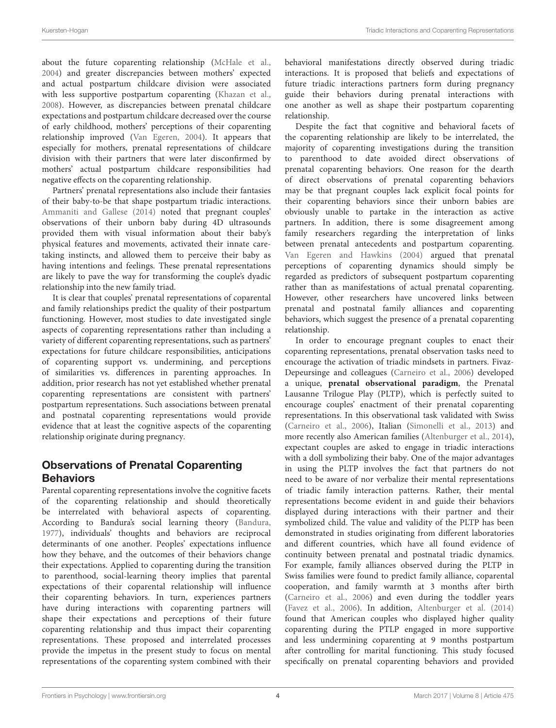about the future coparenting relationship [\(McHale et al.,](#page-17-18) [2004\)](#page-17-18) and greater discrepancies between mothers' expected and actual postpartum childcare division were associated with less supportive postpartum coparenting [\(Khazan et al.,](#page-17-21) [2008\)](#page-17-21). However, as discrepancies between prenatal childcare expectations and postpartum childcare decreased over the course of early childhood, mothers' perceptions of their coparenting relationship improved [\(Van Egeren, 2004\)](#page-17-22). It appears that especially for mothers, prenatal representations of childcare division with their partners that were later disconfirmed by mothers' actual postpartum childcare responsibilities had negative effects on the coparenting relationship.

Partners' prenatal representations also include their fantasies of their baby-to-be that shape postpartum triadic interactions. [Ammaniti and Gallese \(2014\)](#page-16-7) noted that pregnant couples' observations of their unborn baby during 4D ultrasounds provided them with visual information about their baby's physical features and movements, activated their innate caretaking instincts, and allowed them to perceive their baby as having intentions and feelings. These prenatal representations are likely to pave the way for transforming the couple's dyadic relationship into the new family triad.

It is clear that couples' prenatal representations of coparental and family relationships predict the quality of their postpartum functioning. However, most studies to date investigated single aspects of coparenting representations rather than including a variety of different coparenting representations, such as partners' expectations for future childcare responsibilities, anticipations of coparenting support vs. undermining, and perceptions of similarities vs. differences in parenting approaches. In addition, prior research has not yet established whether prenatal coparenting representations are consistent with partners' postpartum representations. Such associations between prenatal and postnatal coparenting representations would provide evidence that at least the cognitive aspects of the coparenting relationship originate during pregnancy.

# Observations of Prenatal Coparenting **Behaviors**

Parental coparenting representations involve the cognitive facets of the coparenting relationship and should theoretically be interrelated with behavioral aspects of coparenting. According to Bandura's social learning theory [\(Bandura,](#page-16-8) [1977\)](#page-16-8), individuals' thoughts and behaviors are reciprocal determinants of one another. Peoples' expectations influence how they behave, and the outcomes of their behaviors change their expectations. Applied to coparenting during the transition to parenthood, social-learning theory implies that parental expectations of their coparental relationship will influence their coparenting behaviors. In turn, experiences partners have during interactions with coparenting partners will shape their expectations and perceptions of their future coparenting relationship and thus impact their coparenting representations. These proposed and interrelated processes provide the impetus in the present study to focus on mental representations of the coparenting system combined with their behavioral manifestations directly observed during triadic interactions. It is proposed that beliefs and expectations of future triadic interactions partners form during pregnancy guide their behaviors during prenatal interactions with one another as well as shape their postpartum coparenting relationship.

Despite the fact that cognitive and behavioral facets of the coparenting relationship are likely to be interrelated, the majority of coparenting investigations during the transition to parenthood to date avoided direct observations of prenatal coparenting behaviors. One reason for the dearth of direct observations of prenatal coparenting behaviors may be that pregnant couples lack explicit focal points for their coparenting behaviors since their unborn babies are obviously unable to partake in the interaction as active partners. In addition, there is some disagreement among family researchers regarding the interpretation of links between prenatal antecedents and postpartum coparenting. [Van Egeren and Hawkins \(2004\)](#page-17-5) argued that prenatal perceptions of coparenting dynamics should simply be regarded as predictors of subsequent postpartum coparenting rather than as manifestations of actual prenatal coparenting. However, other researchers have uncovered links between prenatal and postnatal family alliances and coparenting behaviors, which suggest the presence of a prenatal coparenting relationship.

In order to encourage pregnant couples to enact their coparenting representations, prenatal observation tasks need to encourage the activation of triadic mindsets in partners. Fivaz-Depeursinge and colleagues [\(Carneiro et al., 2006\)](#page-16-2) developed a unique, **prenatal observational paradigm**, the Prenatal Lausanne Trilogue Play (PLTP), which is perfectly suited to encourage couples' enactment of their prenatal coparenting representations. In this observational task validated with Swiss [\(Carneiro et al., 2006\)](#page-16-2), Italian [\(Simonelli et al., 2013\)](#page-17-13) and more recently also American families [\(Altenburger et al., 2014\)](#page-16-3), expectant couples are asked to engage in triadic interactions with a doll symbolizing their baby. One of the major advantages in using the PLTP involves the fact that partners do not need to be aware of nor verbalize their mental representations of triadic family interaction patterns. Rather, their mental representations become evident in and guide their behaviors displayed during interactions with their partner and their symbolized child. The value and validity of the PLTP has been demonstrated in studies originating from different laboratories and different countries, which have all found evidence of continuity between prenatal and postnatal triadic dynamics. For example, family alliances observed during the PLTP in Swiss families were found to predict family alliance, coparental cooperation, and family warmth at 3 months after birth [\(Carneiro et al., 2006\)](#page-16-2) and even during the toddler years [\(Favez et al., 2006\)](#page-16-9). In addition, [Altenburger et al. \(2014\)](#page-16-3) found that American couples who displayed higher quality coparenting during the PTLP engaged in more supportive and less undermining coparenting at 9 months postpartum after controlling for marital functioning. This study focused specifically on prenatal coparenting behaviors and provided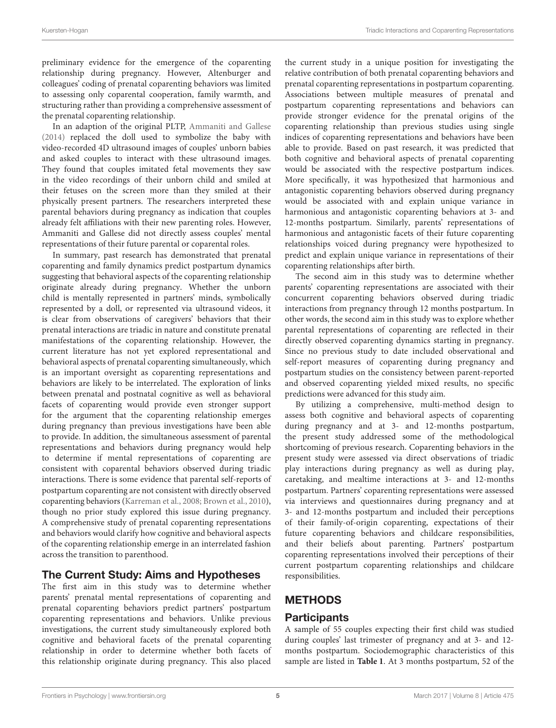preliminary evidence for the emergence of the coparenting relationship during pregnancy. However, Altenburger and colleagues' coding of prenatal coparenting behaviors was limited to assessing only coparental cooperation, family warmth, and structuring rather than providing a comprehensive assessment of the prenatal coparenting relationship.

In an adaption of the original PLTP, [Ammaniti and Gallese](#page-16-7) [\(2014\)](#page-16-7) replaced the doll used to symbolize the baby with video-recorded 4D ultrasound images of couples' unborn babies and asked couples to interact with these ultrasound images. They found that couples imitated fetal movements they saw in the video recordings of their unborn child and smiled at their fetuses on the screen more than they smiled at their physically present partners. The researchers interpreted these parental behaviors during pregnancy as indication that couples already felt affiliations with their new parenting roles. However, Ammaniti and Gallese did not directly assess couples' mental representations of their future parental or coparental roles.

In summary, past research has demonstrated that prenatal coparenting and family dynamics predict postpartum dynamics suggesting that behavioral aspects of the coparenting relationship originate already during pregnancy. Whether the unborn child is mentally represented in partners' minds, symbolically represented by a doll, or represented via ultrasound videos, it is clear from observations of caregivers' behaviors that their prenatal interactions are triadic in nature and constitute prenatal manifestations of the coparenting relationship. However, the current literature has not yet explored representational and behavioral aspects of prenatal coparenting simultaneously, which is an important oversight as coparenting representations and behaviors are likely to be interrelated. The exploration of links between prenatal and postnatal cognitive as well as behavioral facets of coparenting would provide even stronger support for the argument that the coparenting relationship emerges during pregnancy than previous investigations have been able to provide. In addition, the simultaneous assessment of parental representations and behaviors during pregnancy would help to determine if mental representations of coparenting are consistent with coparental behaviors observed during triadic interactions. There is some evidence that parental self-reports of postpartum coparenting are not consistent with directly observed coparenting behaviors [\(Karreman et al., 2008;](#page-17-23) [Brown et al., 2010\)](#page-16-10), though no prior study explored this issue during pregnancy. A comprehensive study of prenatal coparenting representations and behaviors would clarify how cognitive and behavioral aspects of the coparenting relationship emerge in an interrelated fashion across the transition to parenthood.

## The Current Study: Aims and Hypotheses

The first aim in this study was to determine whether parents' prenatal mental representations of coparenting and prenatal coparenting behaviors predict partners' postpartum coparenting representations and behaviors. Unlike previous investigations, the current study simultaneously explored both cognitive and behavioral facets of the prenatal coparenting relationship in order to determine whether both facets of this relationship originate during pregnancy. This also placed the current study in a unique position for investigating the relative contribution of both prenatal coparenting behaviors and prenatal coparenting representations in postpartum coparenting. Associations between multiple measures of prenatal and postpartum coparenting representations and behaviors can provide stronger evidence for the prenatal origins of the coparenting relationship than previous studies using single indices of coparenting representations and behaviors have been able to provide. Based on past research, it was predicted that both cognitive and behavioral aspects of prenatal coparenting would be associated with the respective postpartum indices. More specifically, it was hypothesized that harmonious and antagonistic coparenting behaviors observed during pregnancy would be associated with and explain unique variance in harmonious and antagonistic coparenting behaviors at 3- and 12-months postpartum. Similarly, parents' representations of harmonious and antagonistic facets of their future coparenting relationships voiced during pregnancy were hypothesized to predict and explain unique variance in representations of their coparenting relationships after birth.

The second aim in this study was to determine whether parents' coparenting representations are associated with their concurrent coparenting behaviors observed during triadic interactions from pregnancy through 12 months postpartum. In other words, the second aim in this study was to explore whether parental representations of coparenting are reflected in their directly observed coparenting dynamics starting in pregnancy. Since no previous study to date included observational and self-report measures of coparenting during pregnancy and postpartum studies on the consistency between parent-reported and observed coparenting yielded mixed results, no specific predictions were advanced for this study aim.

By utilizing a comprehensive, multi-method design to assess both cognitive and behavioral aspects of coparenting during pregnancy and at 3- and 12-months postpartum, the present study addressed some of the methodological shortcoming of previous research. Coparenting behaviors in the present study were assessed via direct observations of triadic play interactions during pregnancy as well as during play, caretaking, and mealtime interactions at 3- and 12-months postpartum. Partners' coparenting representations were assessed via interviews and questionnaires during pregnancy and at 3- and 12-months postpartum and included their perceptions of their family-of-origin coparenting, expectations of their future coparenting behaviors and childcare responsibilities, and their beliefs about parenting. Partners' postpartum coparenting representations involved their perceptions of their current postpartum coparenting relationships and childcare responsibilities.

# **METHODS**

## **Participants**

A sample of 55 couples expecting their first child was studied during couples' last trimester of pregnancy and at 3- and 12 months postpartum. Sociodemographic characteristics of this sample are listed in **[Table 1](#page-6-0)**. At 3 months postpartum, 52 of the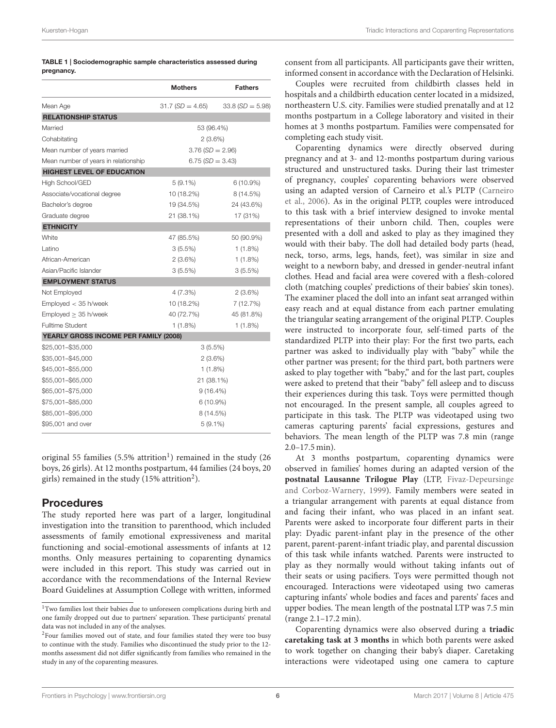#### Kuersten-Hogan **Triadic Interactions and Coparenting Representations Triadic Interactions and Coparenting Representations**

#### <span id="page-6-0"></span>TABLE 1 | Sociodemographic sample characteristics assessed during pregnancy.

|                                       | <b>Mothers</b>    | <b>Fathers</b>    |  |
|---------------------------------------|-------------------|-------------------|--|
| Mean Age                              | $31.7(SD = 4.65)$ | $33.8(SD = 5.98)$ |  |
| <b>RELATIONSHIP STATUS</b>            |                   |                   |  |
| Married                               | 53 (96.4%)        |                   |  |
| Cohabitating                          | $2(3.6\%)$        |                   |  |
| Mean number of years married          | $3.76(SD = 2.96)$ |                   |  |
| Mean number of years in relationship  | $6.75(SD = 3.43)$ |                   |  |
| <b>HIGHEST LEVEL OF EDUCATION</b>     |                   |                   |  |
| High School/GED                       | $5(9.1\%)$        | 6 (10.9%)         |  |
| Associate/vocational degree           | 10 (18.2%)        | 8 (14.5%)         |  |
| Bachelor's degree                     | 19 (34.5%)        | 24 (43.6%)        |  |
| Graduate degree                       | 21 (38.1%)        | 17 (31%)          |  |
| <b>ETHNICITY</b>                      |                   |                   |  |
| White                                 | 47 (85.5%)        | 50 (90.9%)        |  |
| Latino                                | 3(5.5%)           | $1(1.8\%)$        |  |
| African-American                      | 2(3.6%)           | $1(1.8\%)$        |  |
| Asian/Pacific Islander                | 3(5.5%)           | 3(5.5%)           |  |
| <b>EMPLOYMENT STATUS</b>              |                   |                   |  |
| Not Employed                          | 4 (7.3%)          | $2(3.6\%)$        |  |
| Emploved < 35 h/week                  | 10 (18.2%)        | 7 (12.7%)         |  |
| Emploved > 35 h/week                  | 40 (72.7%)        | 45 (81.8%)        |  |
| <b>Fulltime Student</b>               | 1(1.8%)           | $1(1.8\%)$        |  |
| YEARLY GROSS INCOME PER FAMILY (2008) |                   |                   |  |
| \$25,001-\$35,000                     | $3(5.5\%)$        |                   |  |
| \$35,001-\$45,000                     | $2(3.6\%)$        |                   |  |
| \$45,001-\$55,000                     | 1 (1.8%)          |                   |  |
| \$55,001-\$65,000                     | 21 (38.1%)        |                   |  |
| \$65,001-\$75,000                     | $9(16.4\%)$       |                   |  |
| \$75,001-\$85,000                     | $6(10.9\%)$       |                   |  |
| \$85,001-\$95,000                     | 8 (14.5%)         |                   |  |
| \$95,001 and over                     | $5(9.1\%)$        |                   |  |

original 55 families (5.5% attrition<sup>[1](#page-6-1)</sup>) remained in the study (26 boys, 26 girls). At 12 months postpartum, 44 families (24 boys, 20 girls) remained in the study (15% attrition $^2$  $^2$ ).

## Procedures

The study reported here was part of a larger, longitudinal investigation into the transition to parenthood, which included assessments of family emotional expressiveness and marital functioning and social-emotional assessments of infants at 12 months. Only measures pertaining to coparenting dynamics were included in this report. This study was carried out in accordance with the recommendations of the Internal Review Board Guidelines at Assumption College with written, informed consent from all participants. All participants gave their written, informed consent in accordance with the Declaration of Helsinki.

Couples were recruited from childbirth classes held in hospitals and a childbirth education center located in a midsized, northeastern U.S. city. Families were studied prenatally and at 12 months postpartum in a College laboratory and visited in their homes at 3 months postpartum. Families were compensated for completing each study visit.

Coparenting dynamics were directly observed during pregnancy and at 3- and 12-months postpartum during various structured and unstructured tasks. During their last trimester of pregnancy, couples' coparenting behaviors were observed using an adapted version of Carneiro et al.'s PLTP (Carneiro et al., [2006\)](#page-16-2). As in the original PLTP, couples were introduced to this task with a brief interview designed to invoke mental representations of their unborn child. Then, couples were presented with a doll and asked to play as they imagined they would with their baby. The doll had detailed body parts (head, neck, torso, arms, legs, hands, feet), was similar in size and weight to a newborn baby, and dressed in gender-neutral infant clothes. Head and facial area were covered with a flesh-colored cloth (matching couples' predictions of their babies' skin tones). The examiner placed the doll into an infant seat arranged within easy reach and at equal distance from each partner emulating the triangular seating arrangement of the original PLTP. Couples were instructed to incorporate four, self-timed parts of the standardized PLTP into their play: For the first two parts, each partner was asked to individually play with "baby" while the other partner was present; for the third part, both partners were asked to play together with "baby," and for the last part, couples were asked to pretend that their "baby" fell asleep and to discuss their experiences during this task. Toys were permitted though not encouraged. In the present sample, all couples agreed to participate in this task. The PLTP was videotaped using two cameras capturing parents' facial expressions, gestures and behaviors. The mean length of the PLTP was 7.8 min (range 2.0–17.5 min).

At 3 months postpartum, coparenting dynamics were observed in families' homes during an adapted version of the **postnatal Lausanne Trilogue Play** (LTP, Fivaz-Depeursinge and Corboz-Warnery, [1999\)](#page-16-11). Family members were seated in a triangular arrangement with parents at equal distance from and facing their infant, who was placed in an infant seat. Parents were asked to incorporate four different parts in their play: Dyadic parent-infant play in the presence of the other parent, parent-parent-infant triadic play, and parental discussion of this task while infants watched. Parents were instructed to play as they normally would without taking infants out of their seats or using pacifiers. Toys were permitted though not encouraged. Interactions were videotaped using two cameras capturing infants' whole bodies and faces and parents' faces and upper bodies. The mean length of the postnatal LTP was 7.5 min (range 2.1–17.2 min).

Coparenting dynamics were also observed during a **triadic caretaking task at 3 months** in which both parents were asked to work together on changing their baby's diaper. Caretaking interactions were videotaped using one camera to capture

<span id="page-6-1"></span><sup>&</sup>lt;sup>1</sup>Two families lost their babies due to unforeseen complications during birth and one family dropped out due to partners' separation. These participants' prenatal data was not included in any of the analyses.

<span id="page-6-2"></span><sup>&</sup>lt;sup>2</sup>Four families moved out of state, and four families stated they were too busy to continue with the study. Families who discontinued the study prior to the 12 months assessment did not differ significantly from families who remained in the study in any of the coparenting measures.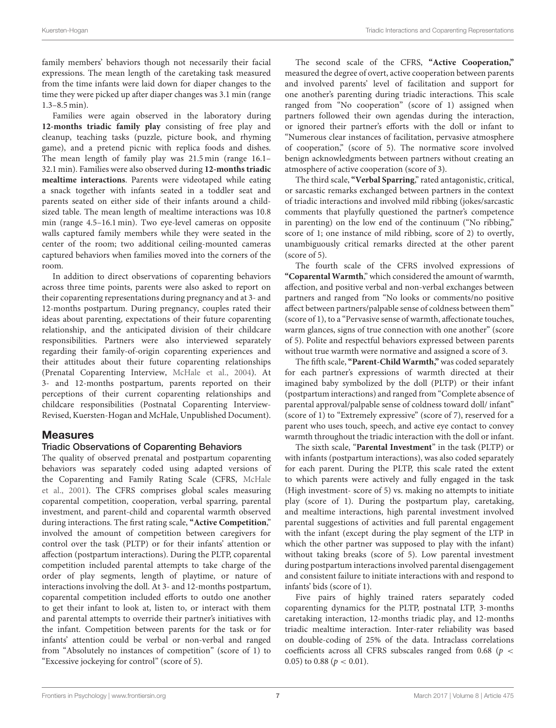family members' behaviors though not necessarily their facial expressions. The mean length of the caretaking task measured from the time infants were laid down for diaper changes to the time they were picked up after diaper changes was 3.1 min (range 1.3–8.5 min).

Families were again observed in the laboratory during **12-months triadic family play** consisting of free play and cleanup, teaching tasks (puzzle, picture book, and rhyming game), and a pretend picnic with replica foods and dishes. The mean length of family play was 21.5 min (range 16.1– 32.1 min). Families were also observed during **12-months triadic mealtime interactions**. Parents were videotaped while eating a snack together with infants seated in a toddler seat and parents seated on either side of their infants around a childsized table. The mean length of mealtime interactions was 10.8 min (range 4.5–16.1 min). Two eye-level cameras on opposite walls captured family members while they were seated in the center of the room; two additional ceiling-mounted cameras captured behaviors when families moved into the corners of the room.

In addition to direct observations of coparenting behaviors across three time points, parents were also asked to report on their coparenting representations during pregnancy and at 3- and 12-months postpartum. During pregnancy, couples rated their ideas about parenting, expectations of their future coparenting relationship, and the anticipated division of their childcare responsibilities. Partners were also interviewed separately regarding their family-of-origin coparenting experiences and their attitudes about their future coparenting relationships (Prenatal Coparenting Interview, [McHale et al., 2004\)](#page-17-18). At 3- and 12-months postpartum, parents reported on their perceptions of their current coparenting relationships and childcare responsibilities (Postnatal Coparenting Interview-Revised, Kuersten-Hogan and McHale, Unpublished Document).

## Measures

## Triadic Observations of Coparenting Behaviors

The quality of observed prenatal and postpartum coparenting behaviors was separately coded using adapted versions of the Coparenting and Family Rating Scale (CFRS, McHale et al., [2001\)](#page-17-24). The CFRS comprises global scales measuring coparental competition, cooperation, verbal sparring, parental investment, and parent-child and coparental warmth observed during interactions. The first rating scale, **"Active Competition**," involved the amount of competition between caregivers for control over the task (PLTP) or for their infants' attention or affection (postpartum interactions). During the PLTP, coparental competition included parental attempts to take charge of the order of play segments, length of playtime, or nature of interactions involving the doll. At 3- and 12-months postpartum, coparental competition included efforts to outdo one another to get their infant to look at, listen to, or interact with them and parental attempts to override their partner's initiatives with the infant. Competition between parents for the task or for infants' attention could be verbal or non-verbal and ranged from "Absolutely no instances of competition" (score of 1) to "Excessive jockeying for control" (score of 5).

The second scale of the CFRS, **"Active Cooperation,"** measured the degree of overt, active cooperation between parents and involved parents' level of facilitation and support for one another's parenting during triadic interactions. This scale ranged from "No cooperation" (score of 1) assigned when partners followed their own agendas during the interaction, or ignored their partner's efforts with the doll or infant to "Numerous clear instances of facilitation, pervasive atmosphere of cooperation," (score of 5). The normative score involved benign acknowledgments between partners without creating an atmosphere of active cooperation (score of 3).

The third scale, **"Verbal Sparring**," rated antagonistic, critical, or sarcastic remarks exchanged between partners in the context of triadic interactions and involved mild ribbing (jokes/sarcastic comments that playfully questioned the partner's competence in parenting) on the low end of the continuum ("No ribbing," score of 1; one instance of mild ribbing, score of 2) to overtly, unambiguously critical remarks directed at the other parent (score of 5).

The fourth scale of the CFRS involved expressions of **"Coparental Warmth**," which considered the amount of warmth, affection, and positive verbal and non-verbal exchanges between partners and ranged from "No looks or comments/no positive affect between partners/palpable sense of coldness between them" (score of 1), to a "Pervasive sense of warmth, affectionate touches, warm glances, signs of true connection with one another" (score of 5). Polite and respectful behaviors expressed between parents without true warmth were normative and assigned a score of 3.

The fifth scale, **"Parent-Child Warmth,"** was coded separately for each partner's expressions of warmth directed at their imagined baby symbolized by the doll (PLTP) or their infant (postpartum interactions) and ranged from "Complete absence of parental approval/palpable sense of coldness toward doll/ infant" (score of 1) to "Extremely expressive" (score of 7), reserved for a parent who uses touch, speech, and active eye contact to convey warmth throughout the triadic interaction with the doll or infant.

The sixth scale, "**Parental Investment**" in the task (PLTP) or with infants (postpartum interactions), was also coded separately for each parent. During the PLTP, this scale rated the extent to which parents were actively and fully engaged in the task (High investment- score of 5) vs. making no attempts to initiate play (score of 1). During the postpartum play, caretaking, and mealtime interactions, high parental investment involved parental suggestions of activities and full parental engagement with the infant (except during the play segment of the LTP in which the other partner was supposed to play with the infant) without taking breaks (score of 5). Low parental investment during postpartum interactions involved parental disengagement and consistent failure to initiate interactions with and respond to infants' bids (score of 1).

Five pairs of highly trained raters separately coded coparenting dynamics for the PLTP, postnatal LTP, 3-months caretaking interaction, 12-months triadic play, and 12-months triadic mealtime interaction. Inter-rater reliability was based on double-coding of 25% of the data. Intraclass correlations coefficients across all CFRS subscales ranged from 0.68 ( $p <$ 0.05) to 0.88 ( $p < 0.01$ ).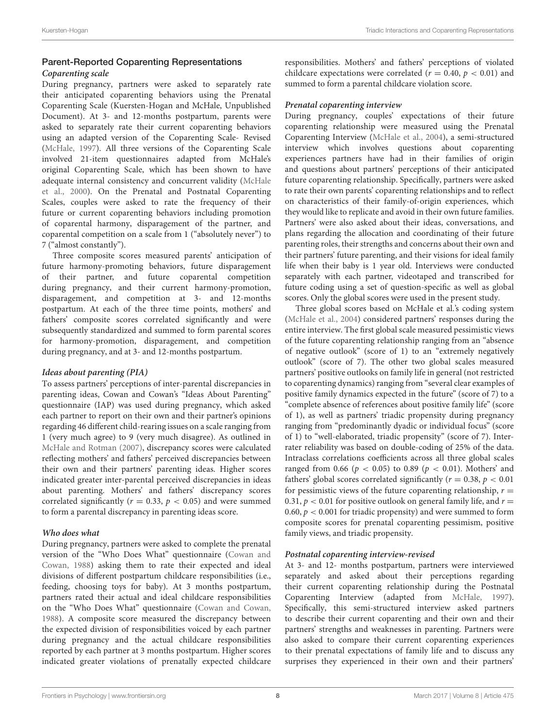## Parent-Reported Coparenting Representations **Coparenting scale**

During pregnancy, partners were asked to separately rate their anticipated coparenting behaviors using the Prenatal Coparenting Scale (Kuersten-Hogan and McHale, Unpublished Document). At 3- and 12-months postpartum, parents were asked to separately rate their current coparenting behaviors using an adapted version of the Coparenting Scale- Revised [\(McHale, 1997\)](#page-17-3). All three versions of the Coparenting Scale involved 21-item questionnaires adapted from McHale's original Coparenting Scale, which has been shown to have adequate internal consistency and concurrent validity (McHale et al., [2000\)](#page-17-25). On the Prenatal and Postnatal Coparenting Scales, couples were asked to rate the frequency of their future or current coparenting behaviors including promotion of coparental harmony, disparagement of the partner, and coparental competition on a scale from 1 ("absolutely never") to 7 ("almost constantly").

Three composite scores measured parents' anticipation of future harmony-promoting behaviors, future disparagement of their partner, and future coparental competition during pregnancy, and their current harmony-promotion, disparagement, and competition at 3- and 12-months postpartum. At each of the three time points, mothers' and fathers' composite scores correlated significantly and were subsequently standardized and summed to form parental scores for harmony-promotion, disparagement, and competition during pregnancy, and at 3- and 12-months postpartum.

#### **Ideas about parenting (PIA)**

To assess partners' perceptions of inter-parental discrepancies in parenting ideas, Cowan and Cowan's "Ideas About Parenting" questionnaire (IAP) was used during pregnancy, which asked each partner to report on their own and their partner's opinions regarding 46 different child-rearing issues on a scale ranging from 1 (very much agree) to 9 (very much disagree). As outlined in [McHale and Rotman \(2007\)](#page-17-19), discrepancy scores were calculated reflecting mothers' and fathers' perceived discrepancies between their own and their partners' parenting ideas. Higher scores indicated greater inter-parental perceived discrepancies in ideas about parenting. Mothers' and fathers' discrepancy scores correlated significantly ( $r = 0.33$ ,  $p < 0.05$ ) and were summed to form a parental discrepancy in parenting ideas score.

## **Who does what**

During pregnancy, partners were asked to complete the prenatal version of the "Who Does What" questionnaire (Cowan and Cowan, [1988\)](#page-16-12) asking them to rate their expected and ideal divisions of different postpartum childcare responsibilities (i.e., feeding, choosing toys for baby). At 3 months postpartum, partners rated their actual and ideal childcare responsibilities on the "Who Does What" questionnaire [\(Cowan and Cowan,](#page-16-12) [1988\)](#page-16-12). A composite score measured the discrepancy between the expected division of responsibilities voiced by each partner during pregnancy and the actual childcare responsibilities reported by each partner at 3 months postpartum. Higher scores indicated greater violations of prenatally expected childcare responsibilities. Mothers' and fathers' perceptions of violated childcare expectations were correlated ( $r = 0.40$ ,  $p < 0.01$ ) and summed to form a parental childcare violation score.

#### **Prenatal coparenting interview**

During pregnancy, couples' expectations of their future coparenting relationship were measured using the Prenatal Coparenting Interview [\(McHale et al., 2004\)](#page-17-18), a semi-structured interview which involves questions about coparenting experiences partners have had in their families of origin and questions about partners' perceptions of their anticipated future coparenting relationship. Specifically, partners were asked to rate their own parents' coparenting relationships and to reflect on characteristics of their family-of-origin experiences, which they would like to replicate and avoid in their own future families. Partners' were also asked about their ideas, conversations, and plans regarding the allocation and coordinating of their future parenting roles, their strengths and concerns about their own and their partners' future parenting, and their visions for ideal family life when their baby is 1 year old. Interviews were conducted separately with each partner, videotaped and transcribed for future coding using a set of question-specific as well as global scores. Only the global scores were used in the present study.

Three global scores based on McHale et al.'s coding system [\(McHale et al., 2004\)](#page-17-18) considered partners' responses during the entire interview. The first global scale measured pessimistic views of the future coparenting relationship ranging from an "absence of negative outlook" (score of 1) to an "extremely negatively outlook" (score of 7). The other two global scales measured partners' positive outlooks on family life in general (not restricted to coparenting dynamics) ranging from "several clear examples of positive family dynamics expected in the future" (score of 7) to a "complete absence of references about positive family life" (score of 1), as well as partners' triadic propensity during pregnancy ranging from "predominantly dyadic or individual focus" (score of 1) to "well-elaborated, triadic propensity" (score of 7). Interrater reliability was based on double-coding of 25% of the data. Intraclass correlations coefficients across all three global scales ranged from 0.66 ( $p < 0.05$ ) to 0.89 ( $p < 0.01$ ). Mothers' and fathers' global scores correlated significantly ( $r = 0.38$ ,  $p < 0.01$ ) for pessimistic views of the future coparenting relationship,  $r =$ 0.31,  $p < 0.01$  for positive outlook on general family life, and  $r =$ 0.60,  $p < 0.001$  for triadic propensity) and were summed to form composite scores for prenatal coparenting pessimism, positive family views, and triadic propensity.

## **Postnatal coparenting interview-revised**

At 3- and 12- months postpartum, partners were interviewed separately and asked about their perceptions regarding their current coparenting relationship during the Postnatal Coparenting Interview (adapted from [McHale, 1997\)](#page-17-3). Specifically, this semi-structured interview asked partners to describe their current coparenting and their own and their partners' strengths and weaknesses in parenting. Partners were also asked to compare their current coparenting experiences to their prenatal expectations of family life and to discuss any surprises they experienced in their own and their partners'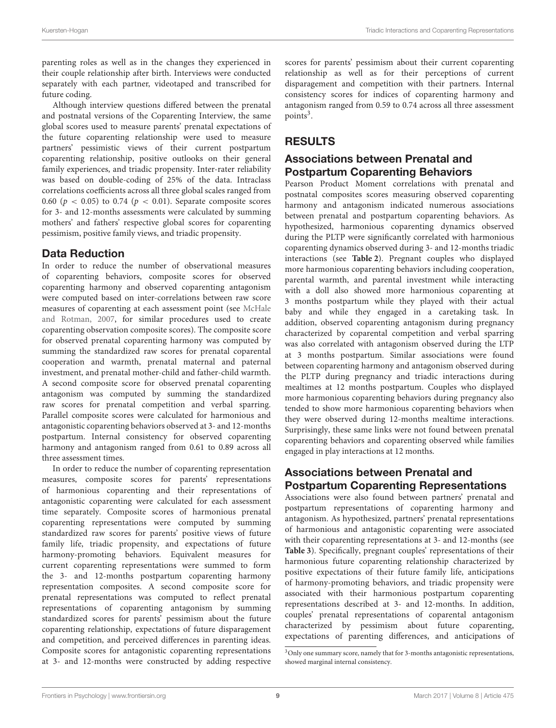parenting roles as well as in the changes they experienced in their couple relationship after birth. Interviews were conducted separately with each partner, videotaped and transcribed for future coding.

Although interview questions differed between the prenatal and postnatal versions of the Coparenting Interview, the same global scores used to measure parents' prenatal expectations of the future coparenting relationship were used to measure partners' pessimistic views of their current postpartum coparenting relationship, positive outlooks on their general family experiences, and triadic propensity. Inter-rater reliability was based on double-coding of 25% of the data. Intraclass correlations coefficients across all three global scales ranged from 0.60 ( $p < 0.05$ ) to 0.74 ( $p < 0.01$ ). Separate composite scores for 3- and 12-months assessments were calculated by summing mothers' and fathers' respective global scores for coparenting pessimism, positive family views, and triadic propensity.

## Data Reduction

In order to reduce the number of observational measures of coparenting behaviors, composite scores for observed coparenting harmony and observed coparenting antagonism were computed based on inter-correlations between raw score measures of coparenting at each assessment point (see McHale and Rotman, [2007,](#page-17-19) for similar procedures used to create coparenting observation composite scores). The composite score for observed prenatal coparenting harmony was computed by summing the standardized raw scores for prenatal coparental cooperation and warmth, prenatal maternal and paternal investment, and prenatal mother-child and father-child warmth. A second composite score for observed prenatal coparenting antagonism was computed by summing the standardized raw scores for prenatal competition and verbal sparring. Parallel composite scores were calculated for harmonious and antagonistic coparenting behaviors observed at 3- and 12-months postpartum. Internal consistency for observed coparenting harmony and antagonism ranged from 0.61 to 0.89 across all three assessment times.

In order to reduce the number of coparenting representation measures, composite scores for parents' representations of harmonious coparenting and their representations of antagonistic coparenting were calculated for each assessment time separately. Composite scores of harmonious prenatal coparenting representations were computed by summing standardized raw scores for parents' positive views of future family life, triadic propensity, and expectations of future harmony-promoting behaviors. Equivalent measures for current coparenting representations were summed to form the 3- and 12-months postpartum coparenting harmony representation composites. A second composite score for prenatal representations was computed to reflect prenatal representations of coparenting antagonism by summing standardized scores for parents' pessimism about the future coparenting relationship, expectations of future disparagement and competition, and perceived differences in parenting ideas. Composite scores for antagonistic coparenting representations at 3- and 12-months were constructed by adding respective

scores for parents' pessimism about their current coparenting relationship as well as for their perceptions of current disparagement and competition with their partners. Internal consistency scores for indices of coparenting harmony and antagonism ranged from 0.59 to 0.74 across all three assessment points<sup>[3](#page-9-0)</sup>.

# RESULTS

## Associations between Prenatal and Postpartum Coparenting Behaviors

Pearson Product Moment correlations with prenatal and postnatal composites scores measuring observed coparenting harmony and antagonism indicated numerous associations between prenatal and postpartum coparenting behaviors. As hypothesized, harmonious coparenting dynamics observed during the PLTP were significantly correlated with harmonious coparenting dynamics observed during 3- and 12-months triadic interactions (see **[Table 2](#page-10-0)**). Pregnant couples who displayed more harmonious coparenting behaviors including cooperation, parental warmth, and parental investment while interacting with a doll also showed more harmonious coparenting at 3 months postpartum while they played with their actual baby and while they engaged in a caretaking task. In addition, observed coparenting antagonism during pregnancy characterized by coparental competition and verbal sparring was also correlated with antagonism observed during the LTP at 3 months postpartum. Similar associations were found between coparenting harmony and antagonism observed during the PLTP during pregnancy and triadic interactions during mealtimes at 12 months postpartum. Couples who displayed more harmonious coparenting behaviors during pregnancy also tended to show more harmonious coparenting behaviors when they were observed during 12-months mealtime interactions. Surprisingly, these same links were not found between prenatal coparenting behaviors and coparenting observed while families engaged in play interactions at 12 months.

# Associations between Prenatal and Postpartum Coparenting Representations

Associations were also found between partners' prenatal and postpartum representations of coparenting harmony and antagonism. As hypothesized, partners' prenatal representations of harmonious and antagonistic coparenting were associated with their coparenting representations at 3- and 12-months (see **[Table 3](#page-10-1)**). Specifically, pregnant couples' representations of their harmonious future coparenting relationship characterized by positive expectations of their future family life, anticipations of harmony-promoting behaviors, and triadic propensity were associated with their harmonious postpartum coparenting representations described at 3- and 12-months. In addition, couples' prenatal representations of coparental antagonism characterized by pessimism about future coparenting, expectations of parenting differences, and anticipations of

<span id="page-9-0"></span><sup>&</sup>lt;sup>3</sup>Only one summary score, namely that for 3-months antagonistic representations, showed marginal internal consistency.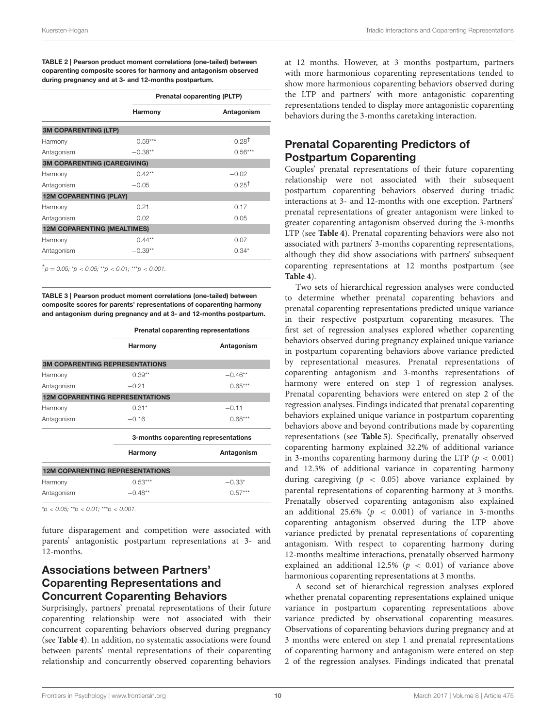<span id="page-10-0"></span>TABLE 2 | Pearson product moment correlations (one-tailed) between coparenting composite scores for harmony and antagonism observed during pregnancy and at 3- and 12-months postpartum.

|                                    |           | <b>Prenatal coparenting (PLTP)</b> |  |  |
|------------------------------------|-----------|------------------------------------|--|--|
|                                    | Harmony   | Antagonism                         |  |  |
| <b>3M COPARENTING (LTP)</b>        |           |                                    |  |  |
| Harmony                            | $0.59***$ | $-0.28$ <sup>†</sup>               |  |  |
| Antagonism                         | $-0.38**$ | $0.56***$                          |  |  |
| <b>3M COPARENTING (CAREGIVING)</b> |           |                                    |  |  |
| Harmony                            | $0.42***$ | $-0.02$                            |  |  |
| Antagonism                         | $-0.05$   | 0.25 <sup>t</sup>                  |  |  |
| <b>12M COPARENTING (PLAY)</b>      |           |                                    |  |  |
| Harmony                            | 0.21      | 0.17                               |  |  |
| Antagonism                         | 0.02      | 0.05                               |  |  |
| <b>12M COPARENTING (MEALTIMES)</b> |           |                                    |  |  |
| Harmony                            | $0.44***$ | 0.07                               |  |  |
| Antagonism                         | $-0.39**$ | $0.34*$                            |  |  |

 $^{\dagger}$ p = 0.05; \*p < 0.05; \*\*p < 0.01; \*\*\*p < 0.001.

<span id="page-10-1"></span>TABLE 3 | Pearson product moment correlations (one-tailed) between composite scores for parents' representations of coparenting harmony and antagonism during pregnancy and at 3- and 12-months postpartum.

|            |                                        | Prenatal coparenting representations |  |  |
|------------|----------------------------------------|--------------------------------------|--|--|
|            | Harmony                                | Antagonism                           |  |  |
|            | <b>3M COPARENTING REPRESENTATIONS</b>  |                                      |  |  |
| Harmony    | $0.39**$                               | $-0.46**$                            |  |  |
| Antagonism | $-0.21$                                | $0.65***$                            |  |  |
|            | <b>12M COPARENTING REPRESENTATIONS</b> |                                      |  |  |
| Harmony    | $0.31*$                                | $-0.11$                              |  |  |
| Antagonism | $-0.16$                                | $0.68***$                            |  |  |
|            |                                        | 3-months coparenting representations |  |  |
|            | Harmony                                | Antagonism                           |  |  |
|            | <b>12M COPARENTING REPRESENTATIONS</b> |                                      |  |  |
| Harmony    | $0.53***$                              | $-0.33*$                             |  |  |
| Antagonism | $-0.48**$                              | $0.57***$                            |  |  |

 $*p < 0.05$ ;  $*p < 0.01$ ;  $**p < 0.001$ .

future disparagement and competition were associated with parents' antagonistic postpartum representations at 3- and 12-months.

## Associations between Partners' Coparenting Representations and Concurrent Coparenting Behaviors

Surprisingly, partners' prenatal representations of their future coparenting relationship were not associated with their concurrent coparenting behaviors observed during pregnancy (see **[Table 4](#page-11-0)**). In addition, no systematic associations were found between parents' mental representations of their coparenting relationship and concurrently observed coparenting behaviors at 12 months. However, at 3 months postpartum, partners with more harmonious coparenting representations tended to show more harmonious coparenting behaviors observed during the LTP and partners' with more antagonistic coparenting representations tended to display more antagonistic coparenting behaviors during the 3-months caretaking interaction.

# Prenatal Coparenting Predictors of Postpartum Coparenting

Couples' prenatal representations of their future coparenting relationship were not associated with their subsequent postpartum coparenting behaviors observed during triadic interactions at 3- and 12-months with one exception. Partners' prenatal representations of greater antagonism were linked to greater coparenting antagonism observed during the 3-months LTP (see **[Table 4](#page-11-0)**). Prenatal coparenting behaviors were also not associated with partners' 3-months coparenting representations, although they did show associations with partners' subsequent coparenting representations at 12 months postpartum (see **[Table 4](#page-11-0)**).

Two sets of hierarchical regression analyses were conducted to determine whether prenatal coparenting behaviors and prenatal coparenting representations predicted unique variance in their respective postpartum coparenting measures. The first set of regression analyses explored whether coparenting behaviors observed during pregnancy explained unique variance in postpartum coparenting behaviors above variance predicted by representational measures. Prenatal representations of coparenting antagonism and 3-months representations of harmony were entered on step 1 of regression analyses. Prenatal coparenting behaviors were entered on step 2 of the regression analyses. Findings indicated that prenatal coparenting behaviors explained unique variance in postpartum coparenting behaviors above and beyond contributions made by coparenting representations (see **[Table 5](#page-12-0)**). Specifically, prenatally observed coparenting harmony explained 32.2% of additional variance in 3-months coparenting harmony during the LTP ( $p < 0.001$ ) and 12.3% of additional variance in coparenting harmony during caregiving ( $p < 0.05$ ) above variance explained by parental representations of coparenting harmony at 3 months. Prenatally observed coparenting antagonism also explained an additional 25.6% ( $p < 0.001$ ) of variance in 3-months coparenting antagonism observed during the LTP above variance predicted by prenatal representations of coparenting antagonism. With respect to coparenting harmony during 12-months mealtime interactions, prenatally observed harmony explained an additional 12.5% ( $p < 0.01$ ) of variance above harmonious coparenting representations at 3 months.

A second set of hierarchical regression analyses explored whether prenatal coparenting representations explained unique variance in postpartum coparenting representations above variance predicted by observational coparenting measures. Observations of coparenting behaviors during pregnancy and at 3 months were entered on step 1 and prenatal representations of coparenting harmony and antagonism were entered on step 2 of the regression analyses. Findings indicated that prenatal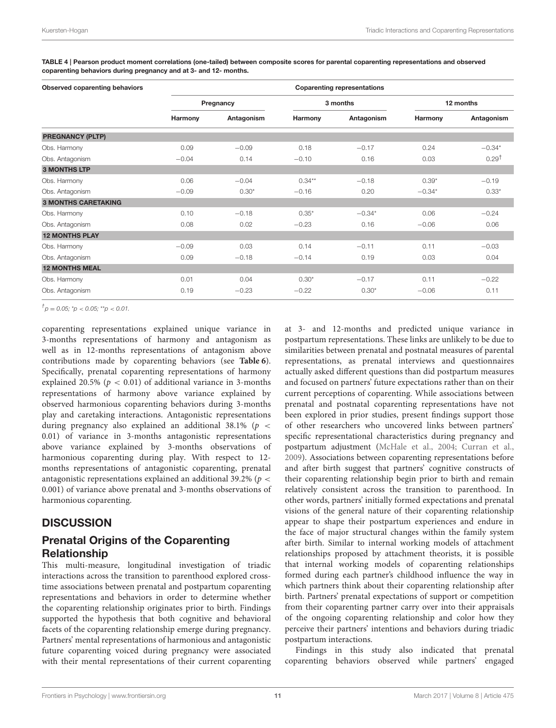| <b>Observed coparenting behaviors</b> | <b>Coparenting representations</b> |            |           |            |           |                   |  |
|---------------------------------------|------------------------------------|------------|-----------|------------|-----------|-------------------|--|
|                                       | Pregnancy                          |            | 3 months  |            | 12 months |                   |  |
|                                       | Harmony                            | Antagonism | Harmony   | Antagonism | Harmony   | Antagonism        |  |
| <b>PREGNANCY (PLTP)</b>               |                                    |            |           |            |           |                   |  |
| Obs. Harmony                          | 0.09                               | $-0.09$    | 0.18      | $-0.17$    | 0.24      | $-0.34*$          |  |
| Obs. Antagonism                       | $-0.04$                            | 0.14       | $-0.10$   | 0.16       | 0.03      | 0.29 <sup>†</sup> |  |
| <b>3 MONTHS LTP</b>                   |                                    |            |           |            |           |                   |  |
| Obs. Harmony                          | 0.06                               | $-0.04$    | $0.34***$ | $-0.18$    | $0.39*$   | $-0.19$           |  |
| Obs. Antagonism                       | $-0.09$                            | $0.30*$    | $-0.16$   | 0.20       | $-0.34*$  | $0.33*$           |  |
| <b>3 MONTHS CARETAKING</b>            |                                    |            |           |            |           |                   |  |
| Obs. Harmony                          | 0.10                               | $-0.18$    | $0.35*$   | $-0.34*$   | 0.06      | $-0.24$           |  |
| Obs. Antagonism                       | 0.08                               | 0.02       | $-0.23$   | 0.16       | $-0.06$   | 0.06              |  |
| <b>12 MONTHS PLAY</b>                 |                                    |            |           |            |           |                   |  |
| Obs. Harmony                          | $-0.09$                            | 0.03       | 0.14      | $-0.11$    | 0.11      | $-0.03$           |  |
| Obs. Antagonism                       | 0.09                               | $-0.18$    | $-0.14$   | 0.19       | 0.03      | 0.04              |  |
| <b>12 MONTHS MEAL</b>                 |                                    |            |           |            |           |                   |  |
| Obs. Harmony                          | 0.01                               | 0.04       | $0.30*$   | $-0.17$    | 0.11      | $-0.22$           |  |
| Obs. Antagonism                       | 0.19                               | $-0.23$    | $-0.22$   | $0.30*$    | $-0.06$   | 0.11              |  |

<span id="page-11-0"></span>TABLE 4 | Pearson product moment correlations (one-tailed) between composite scores for parental coparenting representations and observed coparenting behaviors during pregnancy and at 3- and 12- months.

 $^{\dagger}$  p = 0.05; \*p < 0.05; \*\*p < 0.01.

coparenting representations explained unique variance in 3-months representations of harmony and antagonism as well as in 12-months representations of antagonism above contributions made by coparenting behaviors (see **[Table 6](#page-12-1)**). Specifically, prenatal coparenting representations of harmony explained 20.5% ( $p < 0.01$ ) of additional variance in 3-months representations of harmony above variance explained by observed harmonious coparenting behaviors during 3-months play and caretaking interactions. Antagonistic representations during pregnancy also explained an additional  $38.1\%$  (p < 0.01) of variance in 3-months antagonistic representations above variance explained by 3-months observations of harmonious coparenting during play. With respect to 12 months representations of antagonistic coparenting, prenatal antagonistic representations explained an additional 39.2% ( $p <$ 0.001) of variance above prenatal and 3-months observations of harmonious coparenting.

## **DISCUSSION**

## Prenatal Origins of the Coparenting Relationship

This multi-measure, longitudinal investigation of triadic interactions across the transition to parenthood explored crosstime associations between prenatal and postpartum coparenting representations and behaviors in order to determine whether the coparenting relationship originates prior to birth. Findings supported the hypothesis that both cognitive and behavioral facets of the coparenting relationship emerge during pregnancy. Partners' mental representations of harmonious and antagonistic future coparenting voiced during pregnancy were associated with their mental representations of their current coparenting

at 3- and 12-months and predicted unique variance in postpartum representations. These links are unlikely to be due to similarities between prenatal and postnatal measures of parental representations, as prenatal interviews and questionnaires actually asked different questions than did postpartum measures and focused on partners' future expectations rather than on their current perceptions of coparenting. While associations between prenatal and postnatal coparenting representations have not been explored in prior studies, present findings support those of other researchers who uncovered links between partners' specific representational characteristics during pregnancy and postpartum adjustment [\(McHale et al., 2004;](#page-17-18) [Curran et al.,](#page-16-6) [2009\)](#page-16-6). Associations between coparenting representations before and after birth suggest that partners' cognitive constructs of their coparenting relationship begin prior to birth and remain relatively consistent across the transition to parenthood. In other words, partners' initially formed expectations and prenatal visions of the general nature of their coparenting relationship appear to shape their postpartum experiences and endure in the face of major structural changes within the family system after birth. Similar to internal working models of attachment relationships proposed by attachment theorists, it is possible that internal working models of coparenting relationships formed during each partner's childhood influence the way in which partners think about their coparenting relationship after birth. Partners' prenatal expectations of support or competition from their coparenting partner carry over into their appraisals of the ongoing coparenting relationship and color how they perceive their partners' intentions and behaviors during triadic postpartum interactions.

Findings in this study also indicated that prenatal coparenting behaviors observed while partners' engaged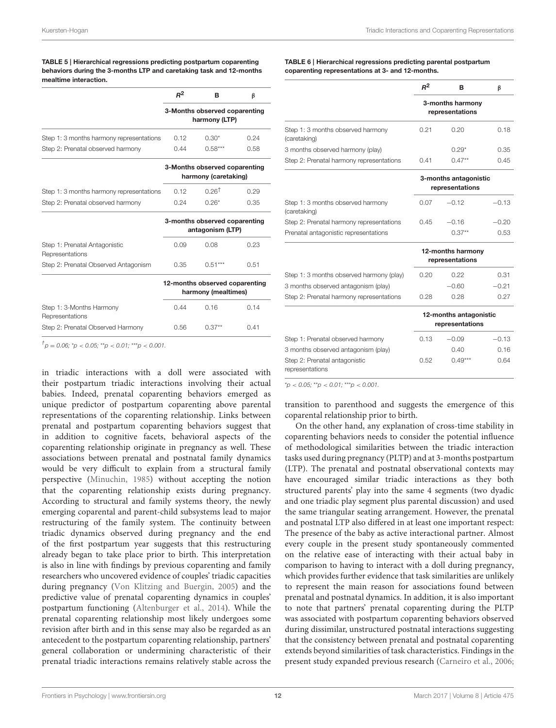<span id="page-12-0"></span>TABLE 5 | Hierarchical regressions predicting postpartum coparenting behaviors during the 3-months LTP and caretaking task and 12-months mealtime interaction.

|                                                  | $R^2$                                                 | в                                                     | β    |
|--------------------------------------------------|-------------------------------------------------------|-------------------------------------------------------|------|
|                                                  | 3-Months observed coparenting<br>harmony (LTP)        |                                                       |      |
| Step 1: 3 months harmony representations         | 0.12                                                  | $0.30*$                                               | 0.24 |
| Step 2: Prenatal observed harmony                | 0.44                                                  | $0.58***$                                             | 0.58 |
|                                                  |                                                       | 3-Months observed coparenting<br>harmony (caretaking) |      |
| Step 1: 3 months harmony representations         | 0.12                                                  | <u>ก 261</u>                                          | 0.29 |
| Step 2: Prenatal observed harmony                | 0.24                                                  | $0.26*$                                               | 0.35 |
|                                                  |                                                       | 3-months observed coparenting<br>antagonism (LTP)     |      |
| Step 1: Prenatal Antagonistic<br>Representations | 0.09                                                  | 0.08                                                  | 0.23 |
| Step 2: Prenatal Observed Antagonism             | 0.35                                                  | $0.51***$                                             | 0.51 |
|                                                  | 12-months observed coparenting<br>harmony (mealtimes) |                                                       |      |
| Step 1: 3-Months Harmony<br>Representations      | 0.44                                                  | 0.16                                                  | 0.14 |
| Step 2: Prenatal Observed Harmony                | 0.56                                                  | $0.37**$                                              | 0.41 |

 $^{\dagger}$ p = 0.06; \*p < 0.05; \*\*p < 0.01; \*\*\*p < 0.001.

in triadic interactions with a doll were associated with their postpartum triadic interactions involving their actual babies. Indeed, prenatal coparenting behaviors emerged as unique predictor of postpartum coparenting above parental representations of the coparenting relationship. Links between prenatal and postpartum coparenting behaviors suggest that in addition to cognitive facets, behavioral aspects of the coparenting relationship originate in pregnancy as well. These associations between prenatal and postnatal family dynamics would be very difficult to explain from a structural family perspective [\(Minuchin, 1985\)](#page-17-6) without accepting the notion that the coparenting relationship exists during pregnancy. According to structural and family systems theory, the newly emerging coparental and parent-child subsystems lead to major restructuring of the family system. The continuity between triadic dynamics observed during pregnancy and the end of the first postpartum year suggests that this restructuring already began to take place prior to birth. This interpretation is also in line with findings by previous coparenting and family researchers who uncovered evidence of couples' triadic capacities during pregnancy [\(Von Klitzing and Buergin, 2005\)](#page-17-26) and the predictive value of prenatal coparenting dynamics in couples' postpartum functioning [\(Altenburger et al., 2014\)](#page-16-3). While the prenatal coparenting relationship most likely undergoes some revision after birth and in this sense may also be regarded as an antecedent to the postpartum coparenting relationship, partners' general collaboration or undermining characteristic of their prenatal triadic interactions remains relatively stable across the <span id="page-12-1"></span>TABLE 6 | Hierarchical regressions predicting parental postpartum coparenting representations at 3- and 12-months.

|                                                   | $R^2$                               | в        | β    |
|---------------------------------------------------|-------------------------------------|----------|------|
|                                                   | 3-months harmony<br>representations |          |      |
| Step 1: 3 months observed harmony<br>(caretaking) | 0.21                                | 0.20     | 0.18 |
| 3 months observed harmony (play)                  |                                     | $0.29*$  | 0.35 |
| Step 2: Prenatal harmony representations          | 0.41                                | $0.47**$ | 0.45 |

|                                                   | 3-months antagonistic<br>representations |          |         |
|---------------------------------------------------|------------------------------------------|----------|---------|
| Step 1: 3 months observed harmony<br>(caretaking) | 0.07                                     | $-0.12$  | $-0.13$ |
| Step 2: Prenatal harmony representations          | 0.45                                     | $-0.16$  | $-0.20$ |
| Prenatal antagonistic representations             |                                          | $0.37**$ | 0.53    |

|                                          | 12-months harmony<br>representations      |         |         |
|------------------------------------------|-------------------------------------------|---------|---------|
| Step 1: 3 months observed harmony (play) | 0.20                                      | 0.22    | 0.31    |
| 3 months observed antagonism (play)      |                                           | $-0.60$ | $-0.21$ |
| Step 2: Prenatal harmony representations | 0.28                                      | 0.28    | 0.27    |
|                                          | 12-months antagonistic<br>representations |         |         |
| Step 1: Prenatal observed harmony        | 0.13                                      | $-0.09$ | $-0.13$ |
| 3 months observed antagonism (play)      |                                           | 0.40    | 0.16    |

 $*_{p}$  < 0.05;  $*_{p}$  < 0.01;  $*_{p}$  < 0.001.

Step 2: Prenatal antagonistic

representations

transition to parenthood and suggests the emergence of this coparental relationship prior to birth.

On the other hand, any explanation of cross-time stability in coparenting behaviors needs to consider the potential influence of methodological similarities between the triadic interaction tasks used during pregnancy (PLTP) and at 3-months postpartum (LTP). The prenatal and postnatal observational contexts may have encouraged similar triadic interactions as they both structured parents' play into the same 4 segments (two dyadic and one triadic play segment plus parental discussion) and used the same triangular seating arrangement. However, the prenatal and postnatal LTP also differed in at least one important respect: The presence of the baby as active interactional partner. Almost every couple in the present study spontaneously commented on the relative ease of interacting with their actual baby in comparison to having to interact with a doll during pregnancy, which provides further evidence that task similarities are unlikely to represent the main reason for associations found between prenatal and postnatal dynamics. In addition, it is also important to note that partners' prenatal coparenting during the PLTP was associated with postpartum coparenting behaviors observed during dissimilar, unstructured postnatal interactions suggesting that the consistency between prenatal and postnatal coparenting extends beyond similarities of task characteristics. Findings in the present study expanded previous research [\(Carneiro et al., 2006;](#page-16-2)

0.52 0.49\*\*\* 0.64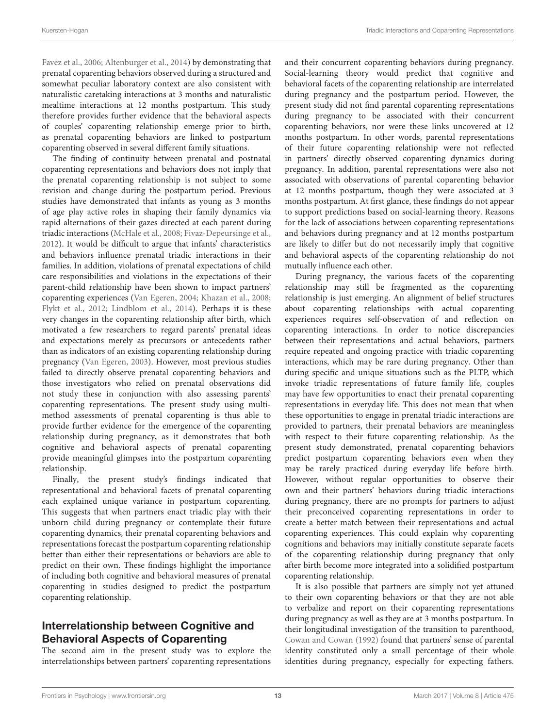[Favez et al., 2006;](#page-16-9) [Altenburger et al., 2014\)](#page-16-3) by demonstrating that prenatal coparenting behaviors observed during a structured and somewhat peculiar laboratory context are also consistent with naturalistic caretaking interactions at 3 months and naturalistic mealtime interactions at 12 months postpartum. This study therefore provides further evidence that the behavioral aspects of couples' coparenting relationship emerge prior to birth, as prenatal coparenting behaviors are linked to postpartum coparenting observed in several different family situations.

The finding of continuity between prenatal and postnatal coparenting representations and behaviors does not imply that the prenatal coparenting relationship is not subject to some revision and change during the postpartum period. Previous studies have demonstrated that infants as young as 3 months of age play active roles in shaping their family dynamics via rapid alternations of their gazes directed at each parent during triadic interactions [\(McHale et al., 2008;](#page-17-27) [Fivaz-Depeursinge et al.,](#page-17-28) [2012\)](#page-17-28). It would be difficult to argue that infants' characteristics and behaviors influence prenatal triadic interactions in their families. In addition, violations of prenatal expectations of child care responsibilities and violations in the expectations of their parent-child relationship have been shown to impact partners' coparenting experiences [\(Van Egeren, 2004;](#page-17-22) [Khazan et al., 2008;](#page-17-21) [Flykt et al., 2012;](#page-17-11) [Lindblom et al., 2014\)](#page-17-12). Perhaps it is these very changes in the coparenting relationship after birth, which motivated a few researchers to regard parents' prenatal ideas and expectations merely as precursors or antecedents rather than as indicators of an existing coparenting relationship during pregnancy [\(Van Egeren, 2003\)](#page-17-20). However, most previous studies failed to directly observe prenatal coparenting behaviors and those investigators who relied on prenatal observations did not study these in conjunction with also assessing parents' coparenting representations. The present study using multimethod assessments of prenatal coparenting is thus able to provide further evidence for the emergence of the coparenting relationship during pregnancy, as it demonstrates that both cognitive and behavioral aspects of prenatal coparenting provide meaningful glimpses into the postpartum coparenting relationship.

Finally, the present study's findings indicated that representational and behavioral facets of prenatal coparenting each explained unique variance in postpartum coparenting. This suggests that when partners enact triadic play with their unborn child during pregnancy or contemplate their future coparenting dynamics, their prenatal coparenting behaviors and representations forecast the postpartum coparenting relationship better than either their representations or behaviors are able to predict on their own. These findings highlight the importance of including both cognitive and behavioral measures of prenatal coparenting in studies designed to predict the postpartum coparenting relationship.

## Interrelationship between Cognitive and Behavioral Aspects of Coparenting

The second aim in the present study was to explore the interrelationships between partners' coparenting representations and their concurrent coparenting behaviors during pregnancy. Social-learning theory would predict that cognitive and behavioral facets of the coparenting relationship are interrelated during pregnancy and the postpartum period. However, the present study did not find parental coparenting representations during pregnancy to be associated with their concurrent coparenting behaviors, nor were these links uncovered at 12 months postpartum. In other words, parental representations of their future coparenting relationship were not reflected in partners' directly observed coparenting dynamics during pregnancy. In addition, parental representations were also not associated with observations of parental coparenting behavior at 12 months postpartum, though they were associated at 3 months postpartum. At first glance, these findings do not appear to support predictions based on social-learning theory. Reasons for the lack of associations between coparenting representations and behaviors during pregnancy and at 12 months postpartum are likely to differ but do not necessarily imply that cognitive and behavioral aspects of the coparenting relationship do not mutually influence each other.

During pregnancy, the various facets of the coparenting relationship may still be fragmented as the coparenting relationship is just emerging. An alignment of belief structures about coparenting relationships with actual coparenting experiences requires self-observation of and reflection on coparenting interactions. In order to notice discrepancies between their representations and actual behaviors, partners require repeated and ongoing practice with triadic coparenting interactions, which may be rare during pregnancy. Other than during specific and unique situations such as the PLTP, which invoke triadic representations of future family life, couples may have few opportunities to enact their prenatal coparenting representations in everyday life. This does not mean that when these opportunities to engage in prenatal triadic interactions are provided to partners, their prenatal behaviors are meaningless with respect to their future coparenting relationship. As the present study demonstrated, prenatal coparenting behaviors predict postpartum coparenting behaviors even when they may be rarely practiced during everyday life before birth. However, without regular opportunities to observe their own and their partners' behaviors during triadic interactions during pregnancy, there are no prompts for partners to adjust their preconceived coparenting representations in order to create a better match between their representations and actual coparenting experiences. This could explain why coparenting cognitions and behaviors may initially constitute separate facets of the coparenting relationship during pregnancy that only after birth become more integrated into a solidified postpartum coparenting relationship.

It is also possible that partners are simply not yet attuned to their own coparenting behaviors or that they are not able to verbalize and report on their coparenting representations during pregnancy as well as they are at 3 months postpartum. In their longitudinal investigation of the transition to parenthood, [Cowan and Cowan \(1992\)](#page-16-0) found that partners' sense of parental identity constituted only a small percentage of their whole identities during pregnancy, especially for expecting fathers.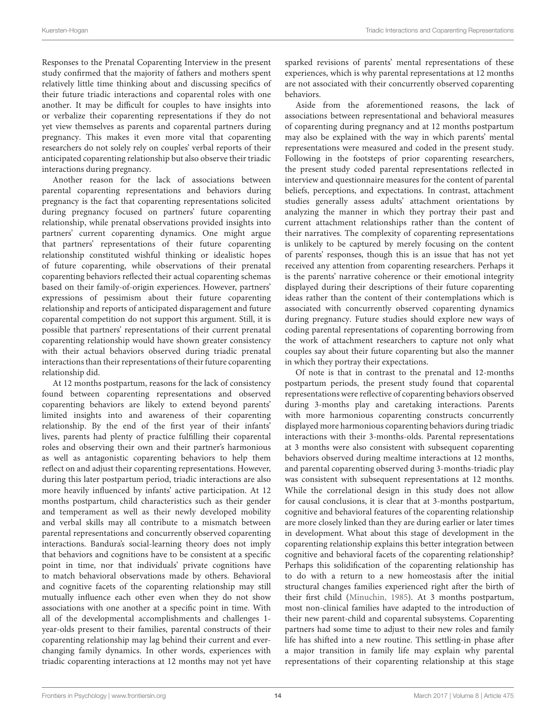Responses to the Prenatal Coparenting Interview in the present study confirmed that the majority of fathers and mothers spent relatively little time thinking about and discussing specifics of their future triadic interactions and coparental roles with one another. It may be difficult for couples to have insights into or verbalize their coparenting representations if they do not yet view themselves as parents and coparental partners during pregnancy. This makes it even more vital that coparenting researchers do not solely rely on couples' verbal reports of their anticipated coparenting relationship but also observe their triadic interactions during pregnancy.

Another reason for the lack of associations between parental coparenting representations and behaviors during pregnancy is the fact that coparenting representations solicited during pregnancy focused on partners' future coparenting relationship, while prenatal observations provided insights into partners' current coparenting dynamics. One might argue that partners' representations of their future coparenting relationship constituted wishful thinking or idealistic hopes of future coparenting, while observations of their prenatal coparenting behaviors reflected their actual coparenting schemas based on their family-of-origin experiences. However, partners' expressions of pessimism about their future coparenting relationship and reports of anticipated disparagement and future coparental competition do not support this argument. Still, it is possible that partners' representations of their current prenatal coparenting relationship would have shown greater consistency with their actual behaviors observed during triadic prenatal interactions than their representations of their future coparenting relationship did.

At 12 months postpartum, reasons for the lack of consistency found between coparenting representations and observed coparenting behaviors are likely to extend beyond parents' limited insights into and awareness of their coparenting relationship. By the end of the first year of their infants' lives, parents had plenty of practice fulfilling their coparental roles and observing their own and their partner's harmonious as well as antagonistic coparenting behaviors to help them reflect on and adjust their coparenting representations. However, during this later postpartum period, triadic interactions are also more heavily influenced by infants' active participation. At 12 months postpartum, child characteristics such as their gender and temperament as well as their newly developed mobility and verbal skills may all contribute to a mismatch between parental representations and concurrently observed coparenting interactions. Bandura's social-learning theory does not imply that behaviors and cognitions have to be consistent at a specific point in time, nor that individuals' private cognitions have to match behavioral observations made by others. Behavioral and cognitive facets of the coparenting relationship may still mutually influence each other even when they do not show associations with one another at a specific point in time. With all of the developmental accomplishments and challenges 1 year-olds present to their families, parental constructs of their coparenting relationship may lag behind their current and everchanging family dynamics. In other words, experiences with triadic coparenting interactions at 12 months may not yet have sparked revisions of parents' mental representations of these experiences, which is why parental representations at 12 months are not associated with their concurrently observed coparenting behaviors.

Aside from the aforementioned reasons, the lack of associations between representational and behavioral measures of coparenting during pregnancy and at 12 months postpartum may also be explained with the way in which parents' mental representations were measured and coded in the present study. Following in the footsteps of prior coparenting researchers, the present study coded parental representations reflected in interview and questionnaire measures for the content of parental beliefs, perceptions, and expectations. In contrast, attachment studies generally assess adults' attachment orientations by analyzing the manner in which they portray their past and current attachment relationships rather than the content of their narratives. The complexity of coparenting representations is unlikely to be captured by merely focusing on the content of parents' responses, though this is an issue that has not yet received any attention from coparenting researchers. Perhaps it is the parents' narrative coherence or their emotional integrity displayed during their descriptions of their future coparenting ideas rather than the content of their contemplations which is associated with concurrently observed coparenting dynamics during pregnancy. Future studies should explore new ways of coding parental representations of coparenting borrowing from the work of attachment researchers to capture not only what couples say about their future coparenting but also the manner in which they portray their expectations.

Of note is that in contrast to the prenatal and 12-months postpartum periods, the present study found that coparental representations were reflective of coparenting behaviors observed during 3-months play and caretaking interactions. Parents with more harmonious coparenting constructs concurrently displayed more harmonious coparenting behaviors during triadic interactions with their 3-months-olds. Parental representations at 3 months were also consistent with subsequent coparenting behaviors observed during mealtime interactions at 12 months, and parental coparenting observed during 3-months-triadic play was consistent with subsequent representations at 12 months. While the correlational design in this study does not allow for causal conclusions, it is clear that at 3-months postpartum, cognitive and behavioral features of the coparenting relationship are more closely linked than they are during earlier or later times in development. What about this stage of development in the coparenting relationship explains this better integration between cognitive and behavioral facets of the coparenting relationship? Perhaps this solidification of the coparenting relationship has to do with a return to a new homeostasis after the initial structural changes families experienced right after the birth of their first child [\(Minuchin, 1985\)](#page-17-6). At 3 months postpartum, most non-clinical families have adapted to the introduction of their new parent-child and coparental subsystems. Coparenting partners had some time to adjust to their new roles and family life has shifted into a new routine. This settling-in phase after a major transition in family life may explain why parental representations of their coparenting relationship at this stage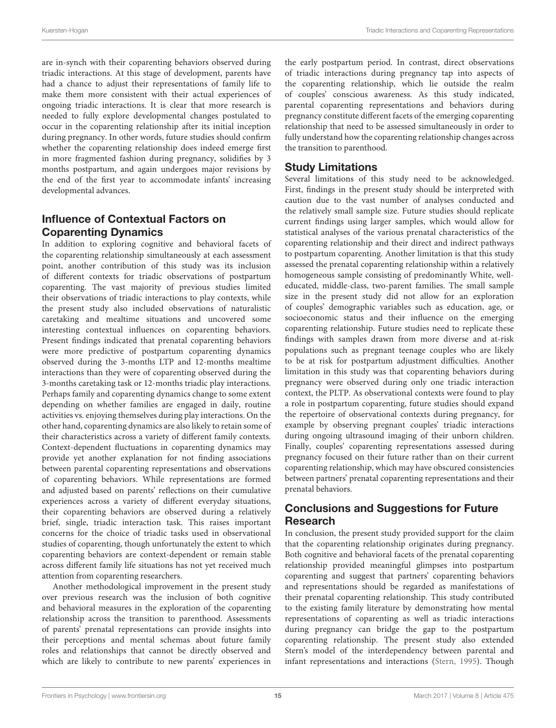are in-synch with their coparenting behaviors observed during triadic interactions. At this stage of development, parents have had a chance to adjust their representations of family life to make them more consistent with their actual experiences of ongoing triadic interactions. It is clear that more research is needed to fully explore developmental changes postulated to occur in the coparenting relationship after its initial inception during pregnancy. In other words, future studies should confirm whether the coparenting relationship does indeed emerge first in more fragmented fashion during pregnancy, solidifies by 3 months postpartum, and again undergoes major revisions by the end of the first year to accommodate infants' increasing developmental advances.

# Influence of Contextual Factors on Coparenting Dynamics

In addition to exploring cognitive and behavioral facets of the coparenting relationship simultaneously at each assessment point, another contribution of this study was its inclusion of different contexts for triadic observations of postpartum coparenting. The vast majority of previous studies limited their observations of triadic interactions to play contexts, while the present study also included observations of naturalistic caretaking and mealtime situations and uncovered some interesting contextual influences on coparenting behaviors. Present findings indicated that prenatal coparenting behaviors were more predictive of postpartum coparenting dynamics observed during the 3-months LTP and 12-months mealtime interactions than they were of coparenting observed during the 3-months caretaking task or 12-months triadic play interactions. Perhaps family and coparenting dynamics change to some extent depending on whether families are engaged in daily, routine activities vs. enjoying themselves during play interactions. On the other hand, coparenting dynamics are also likely to retain some of their characteristics across a variety of different family contexts. Context-dependent fluctuations in coparenting dynamics may provide yet another explanation for not finding associations between parental coparenting representations and observations of coparenting behaviors. While representations are formed and adjusted based on parents' reflections on their cumulative experiences across a variety of different everyday situations, their coparenting behaviors are observed during a relatively brief, single, triadic interaction task. This raises important concerns for the choice of triadic tasks used in observational studies of coparenting, though unfortunately the extent to which coparenting behaviors are context-dependent or remain stable across different family life situations has not yet received much attention from coparenting researchers.

Another methodological improvement in the present study over previous research was the inclusion of both cognitive and behavioral measures in the exploration of the coparenting relationship across the transition to parenthood. Assessments of parents' prenatal representations can provide insights into their perceptions and mental schemas about future family roles and relationships that cannot be directly observed and which are likely to contribute to new parents' experiences in the early postpartum period. In contrast, direct observations of triadic interactions during pregnancy tap into aspects of the coparenting relationship, which lie outside the realm of couples' conscious awareness. As this study indicated, parental coparenting representations and behaviors during pregnancy constitute different facets of the emerging coparenting relationship that need to be assessed simultaneously in order to fully understand how the coparenting relationship changes across the transition to parenthood.

## Study Limitations

Several limitations of this study need to be acknowledged. First, findings in the present study should be interpreted with caution due to the vast number of analyses conducted and the relatively small sample size. Future studies should replicate current findings using larger samples, which would allow for statistical analyses of the various prenatal characteristics of the coparenting relationship and their direct and indirect pathways to postpartum coparenting. Another limitation is that this study assessed the prenatal coparenting relationship within a relatively homogeneous sample consisting of predominantly White, welleducated, middle-class, two-parent families. The small sample size in the present study did not allow for an exploration of couples' demographic variables such as education, age, or socioeconomic status and their influence on the emerging coparenting relationship. Future studies need to replicate these findings with samples drawn from more diverse and at-risk populations such as pregnant teenage couples who are likely to be at risk for postpartum adjustment difficulties. Another limitation in this study was that coparenting behaviors during pregnancy were observed during only one triadic interaction context, the PLTP. As observational contexts were found to play a role in postpartum coparenting, future studies should expand the repertoire of observational contexts during pregnancy, for example by observing pregnant couples' triadic interactions during ongoing ultrasound imaging of their unborn children. Finally, couples' coparenting representations assessed during pregnancy focused on their future rather than on their current coparenting relationship, which may have obscured consistencies between partners' prenatal coparenting representations and their prenatal behaviors.

# Conclusions and Suggestions for Future Research

In conclusion, the present study provided support for the claim that the coparenting relationship originates during pregnancy. Both cognitive and behavioral facets of the prenatal coparenting relationship provided meaningful glimpses into postpartum coparenting and suggest that partners' coparenting behaviors and representations should be regarded as manifestations of their prenatal coparenting relationship. This study contributed to the existing family literature by demonstrating how mental representations of coparenting as well as triadic interactions during pregnancy can bridge the gap to the postpartum coparenting relationship. The present study also extended Stern's model of the interdependency between parental and infant representations and interactions [\(Stern, 1995\)](#page-17-29). Though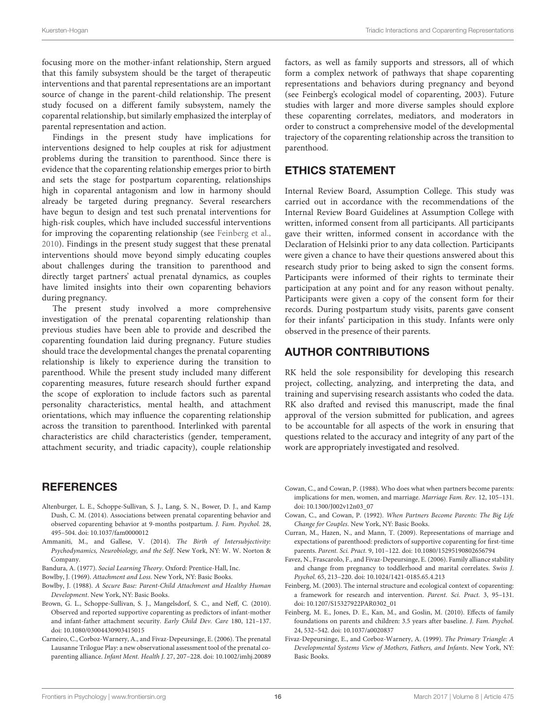focusing more on the mother-infant relationship, Stern argued that this family subsystem should be the target of therapeutic interventions and that parental representations are an important source of change in the parent-child relationship. The present study focused on a different family subsystem, namely the coparental relationship, but similarly emphasized the interplay of parental representation and action.

Findings in the present study have implications for interventions designed to help couples at risk for adjustment problems during the transition to parenthood. Since there is evidence that the coparenting relationship emerges prior to birth and sets the stage for postpartum coparenting, relationships high in coparental antagonism and low in harmony should already be targeted during pregnancy. Several researchers have begun to design and test such prenatal interventions for high-risk couples, which have included successful interventions for improving the coparenting relationship (see [Feinberg et al.,](#page-16-13) [2010\)](#page-16-13). Findings in the present study suggest that these prenatal interventions should move beyond simply educating couples about challenges during the transition to parenthood and directly target partners' actual prenatal dynamics, as couples have limited insights into their own coparenting behaviors during pregnancy.

The present study involved a more comprehensive investigation of the prenatal coparenting relationship than previous studies have been able to provide and described the coparenting foundation laid during pregnancy. Future studies should trace the developmental changes the prenatal coparenting relationship is likely to experience during the transition to parenthood. While the present study included many different coparenting measures, future research should further expand the scope of exploration to include factors such as parental personality characteristics, mental health, and attachment orientations, which may influence the coparenting relationship across the transition to parenthood. Interlinked with parental characteristics are child characteristics (gender, temperament, attachment security, and triadic capacity), couple relationship

## **REFERENCES**

- <span id="page-16-3"></span>Altenburger, L. E., Schoppe-Sullivan, S. J., Lang, S. N., Bower, D. J., and Kamp Dush, C. M. (2014). Associations between prenatal coparenting behavior and observed coparenting behavior at 9-months postpartum. J. Fam. Psychol. 28, 495–504. doi: [10.1037/fam0000012](https://doi.org/10.1037/fam0000012)
- <span id="page-16-7"></span>Ammaniti, M., and Gallese, V. (2014). The Birth of Intersubjectivity: Psychodynamics, Neurobiology, and the Self. New York, NY: W. W. Norton & Company.
- <span id="page-16-8"></span>Bandura, A. (1977). Social Learning Theory. Oxford: Prentice-Hall, Inc.
- <span id="page-16-4"></span>Bowlby, J. (1969). Attachment and Loss. New York, NY: Basic Books.
- <span id="page-16-5"></span>Bowlby, J. (1988). A Secure Base: Parent-Child Attachment and Healthy Human Development. New York, NY: Basic Books.
- <span id="page-16-10"></span>Brown, G. L., Schoppe-Sullivan, S. J., Mangelsdorf, S. C., and Neff, C. (2010). Observed and reported supportive coparenting as predictors of infant-mother and infant-father attachment security. Early Child Dev. Care 180, 121–137. doi: [10.1080/03004430903415015](https://doi.org/10.1080/03004430903415015)
- <span id="page-16-2"></span>Carneiro, C., Corboz-Warnery, A., and Fivaz-Depeursinge, E. (2006). The prenatal Lausanne Trilogue Play: a new observational assessment tool of the prenatal coparenting alliance. Infant Ment. Health J. 27, 207–228. doi: [10.1002/imhj.20089](https://doi.org/10.1002/imhj.20089)

factors, as well as family supports and stressors, all of which form a complex network of pathways that shape coparenting representations and behaviors during pregnancy and beyond (see Feinberg's ecological model of coparenting, 2003). Future studies with larger and more diverse samples should explore these coparenting correlates, mediators, and moderators in order to construct a comprehensive model of the developmental trajectory of the coparenting relationship across the transition to parenthood.

## ETHICS STATEMENT

Internal Review Board, Assumption College. This study was carried out in accordance with the recommendations of the Internal Review Board Guidelines at Assumption College with written, informed consent from all participants. All participants gave their written, informed consent in accordance with the Declaration of Helsinki prior to any data collection. Participants were given a chance to have their questions answered about this research study prior to being asked to sign the consent forms. Participants were informed of their rights to terminate their participation at any point and for any reason without penalty. Participants were given a copy of the consent form for their records. During postpartum study visits, parents gave consent for their infants' participation in this study. Infants were only observed in the presence of their parents.

## AUTHOR CONTRIBUTIONS

RK held the sole responsibility for developing this research project, collecting, analyzing, and interpreting the data, and training and supervising research assistants who coded the data. RK also drafted and revised this manuscript, made the final approval of the version submitted for publication, and agrees to be accountable for all aspects of the work in ensuring that questions related to the accuracy and integrity of any part of the work are appropriately investigated and resolved.

- <span id="page-16-12"></span>Cowan, C., and Cowan, P. (1988). Who does what when partners become parents: implications for men, women, and marriage. Marriage Fam. Rev. 12, 105–131. doi: [10.1300/J002v12n03\\_07](https://doi.org/10.1300/J002v12n03_07)
- <span id="page-16-0"></span>Cowan, C., and Cowan, P. (1992). When Partners Become Parents: The Big Life Change for Couples. New York, NY: Basic Books.
- <span id="page-16-6"></span>Curran, M., Hazen, N., and Mann, T. (2009). Representations of marriage and expectations of parenthood: predictors of supportive coparenting for first-time parents. Parent. Sci. Pract. 9, 101–122. doi: [10.1080/15295190802656794](https://doi.org/10.1080/15295190802656794)
- <span id="page-16-9"></span>Favez, N., Frascarolo, F., and Fivaz-Depeursinge, E. (2006). Family alliance stability and change from pregnancy to toddlerhood and marital correlates. Swiss J. Psychol. 65, 213–220. doi: [10.1024/1421-0185.65.4.213](https://doi.org/10.1024/1421-0185.65.4.213)
- <span id="page-16-1"></span>Feinberg, M. (2003). The internal structure and ecological context of coparenting: a framework for research and intervention. Parent. Sci. Pract. 3, 95–131. doi: [10.1207/S15327922PAR0302\\_01](https://doi.org/10.1207/S15327922PAR0302_01)
- <span id="page-16-13"></span>Feinberg, M. E., Jones, D. E., Kan, M., and Goslin, M. (2010). Effects of family foundations on parents and children: 3.5 years after baseline. J. Fam. Psychol. 24, 532–542. doi: [10.1037/a0020837](https://doi.org/10.1037/a0020837)
- <span id="page-16-11"></span>Fivaz-Depeursinge, E., and Corboz-Warnery, A. (1999). The Primary Triangle: A Developmental Systems View of Mothers, Fathers, and Infants. New York, NY: Basic Books.